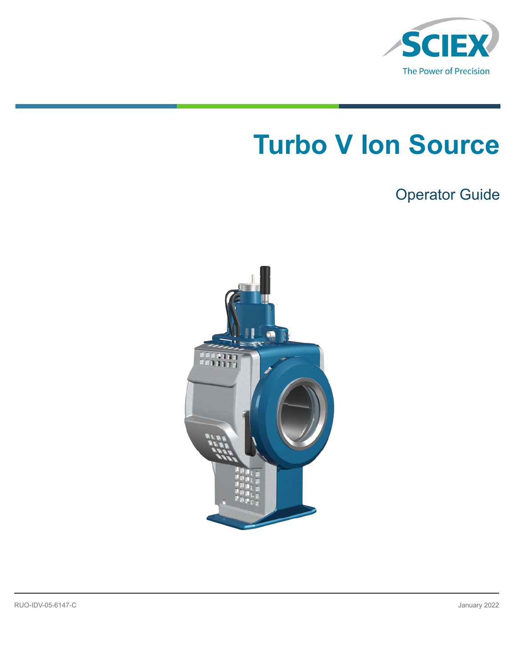

# **Turbo V Ion Source**

# Operator Guide

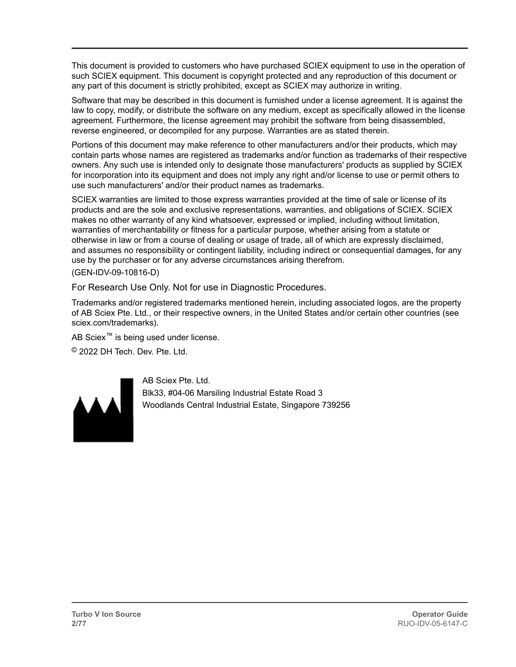This document is provided to customers who have purchased SCIEX equipment to use in the operation of such SCIEX equipment. This document is copyright protected and any reproduction of this document or any part of this document is strictly prohibited, except as SCIEX may authorize in writing.

Software that may be described in this document is furnished under a license agreement. It is against the law to copy, modify, or distribute the software on any medium, except as specifically allowed in the license agreement. Furthermore, the license agreement may prohibit the software from being disassembled, reverse engineered, or decompiled for any purpose. Warranties are as stated therein.

Portions of this document may make reference to other manufacturers and/or their products, which may contain parts whose names are registered as trademarks and/or function as trademarks of their respective owners. Any such use is intended only to designate those manufacturers' products as supplied by SCIEX for incorporation into its equipment and does not imply any right and/or license to use or permit others to use such manufacturers' and/or their product names as trademarks.

SCIEX warranties are limited to those express warranties provided at the time of sale or license of its products and are the sole and exclusive representations, warranties, and obligations of SCIEX. SCIEX makes no other warranty of any kind whatsoever, expressed or implied, including without limitation, warranties of merchantability or fitness for a particular purpose, whether arising from a statute or otherwise in law or from a course of dealing or usage of trade, all of which are expressly disclaimed, and assumes no responsibility or contingent liability, including indirect or consequential damages, for any use by the purchaser or for any adverse circumstances arising therefrom.

(GEN-IDV-09-10816-D)

For Research Use Only. Not for use in Diagnostic Procedures.

Trademarks and/or registered trademarks mentioned herein, including associated logos, are the property of AB Sciex Pte. Ltd., or their respective owners, in the United States and/or certain other countries (see sciex.com/trademarks).

AB Sciex™ is being used under license.

© 2022 DH Tech. Dev. Pte. Ltd.



AB Sciex Pte. Ltd. Blk33, #04-06 Marsiling Industrial Estate Road 3 Woodlands Central Industrial Estate, Singapore 739256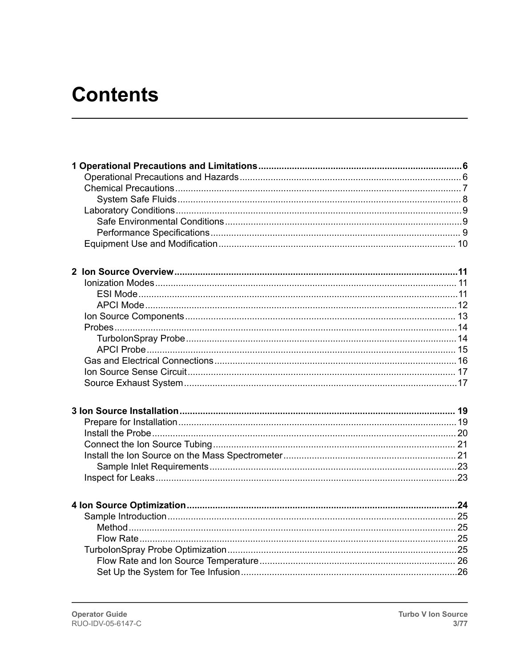# **Contents**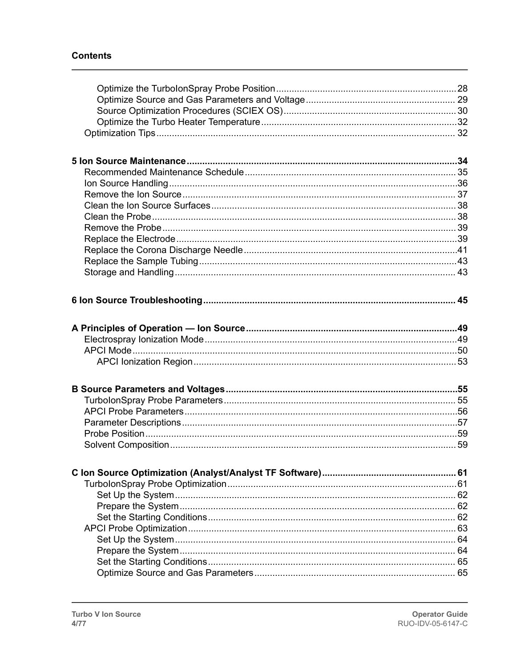#### **Contents**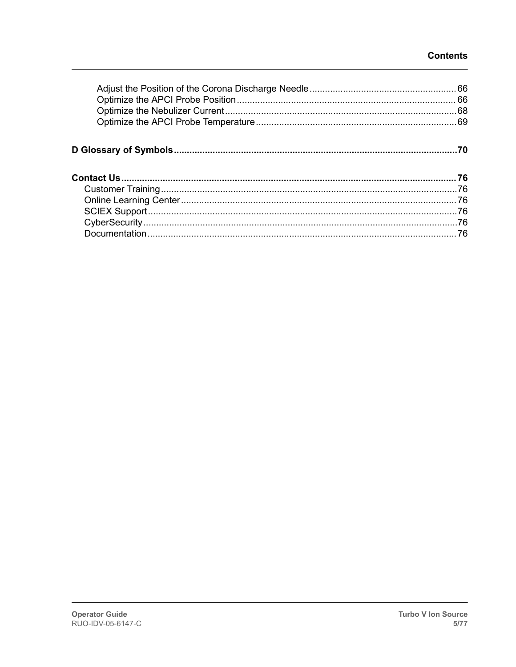#### **Contents**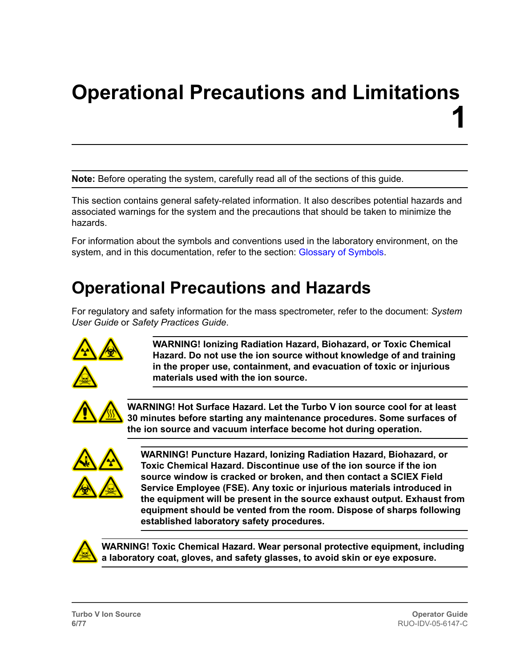# <span id="page-5-0"></span>**Operational Precautions and Limitations 1**

**Note:** Before operating the system, carefully read all of the sections of this guide.

This section contains general safety-related information. It also describes potential hazards and associated warnings for the system and the precautions that should be taken to minimize the hazards.

For information about the symbols and conventions used in the laboratory environment, on the system, and in this documentation, refer to the section: [Glossary of Symbols.](#page-69-0)

# **Operational Precautions and Hazards**

For regulatory and safety information for the mass spectrometer, refer to the document: *System User Guide* or *Safety Practices Guide*.



**WARNING! Ionizing Radiation Hazard, Biohazard, or Toxic Chemical Hazard. Do not use the ion source without knowledge of and training in the proper use, containment, and evacuation of toxic or injurious materials used with the ion source.**



**WARNING! Hot Surface Hazard. Let the Turbo V ion source cool for at least 30 minutes before starting any maintenance procedures. Some surfaces of the ion source and vacuum interface become hot during operation.**



**WARNING! Puncture Hazard, Ionizing Radiation Hazard, Biohazard, or Toxic Chemical Hazard. Discontinue use of the ion source if the ion source window is cracked or broken, and then contact a SCIEX Field Service Employee (FSE). Any toxic or injurious materials introduced in the equipment will be present in the source exhaust output. Exhaust from equipment should be vented from the room. Dispose of sharps following established laboratory safety procedures.**



**WARNING! Toxic Chemical Hazard. Wear personal protective equipment, including a laboratory coat, gloves, and safety glasses, to avoid skin or eye exposure.**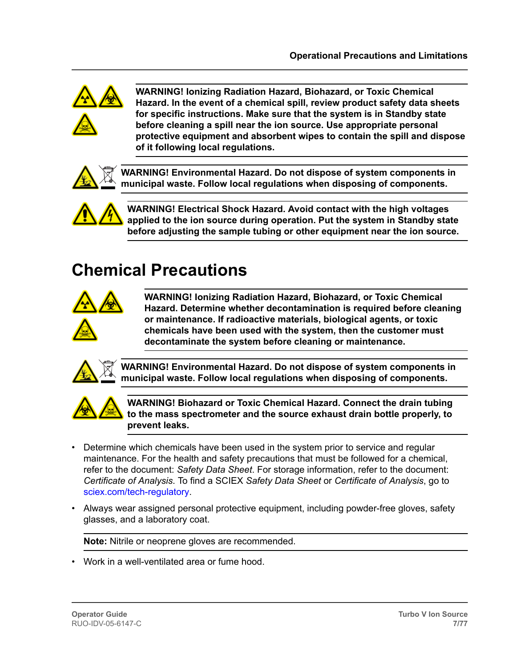<span id="page-6-0"></span>

**WARNING! Ionizing Radiation Hazard, Biohazard, or Toxic Chemical Hazard. In the event of a chemical spill, review product safety data sheets for specific instructions. Make sure that the system is in Standby state before cleaning a spill near the ion source. Use appropriate personal protective equipment and absorbent wipes to contain the spill and dispose of it following local regulations.**



**WARNING! Environmental Hazard. Do not dispose of system components in municipal waste. Follow local regulations when disposing of components.**



**WARNING! Electrical Shock Hazard. Avoid contact with the high voltages applied to the ion source during operation. Put the system in Standby state before adjusting the sample tubing or other equipment near the ion source.**

# **Chemical Precautions**



**WARNING! Ionizing Radiation Hazard, Biohazard, or Toxic Chemical Hazard. Determine whether decontamination is required before cleaning or maintenance. If radioactive materials, biological agents, or toxic chemicals have been used with the system, then the customer must decontaminate the system before cleaning or maintenance.**



**WARNING! Environmental Hazard. Do not dispose of system components in municipal waste. Follow local regulations when disposing of components.**



**WARNING! Biohazard or Toxic Chemical Hazard. Connect the drain tubing to the mass spectrometer and the source exhaust drain bottle properly, to prevent leaks.**

- Determine which chemicals have been used in the system prior to service and regular maintenance. For the health and safety precautions that must be followed for a chemical, refer to the document: *Safety Data Sheet*. For storage information, refer to the document: *Certificate of Analysis*. To find a SCIEX *Safety Data Sheet* or *Certificate of Analysis*, go to [sciex.com/tech-regulatory.](https://sciex.com/tech-regulatory)
- Always wear assigned personal protective equipment, including powder-free gloves, safety glasses, and a laboratory coat.

**Note:** Nitrile or neoprene gloves are recommended.

• Work in a well-ventilated area or fume hood.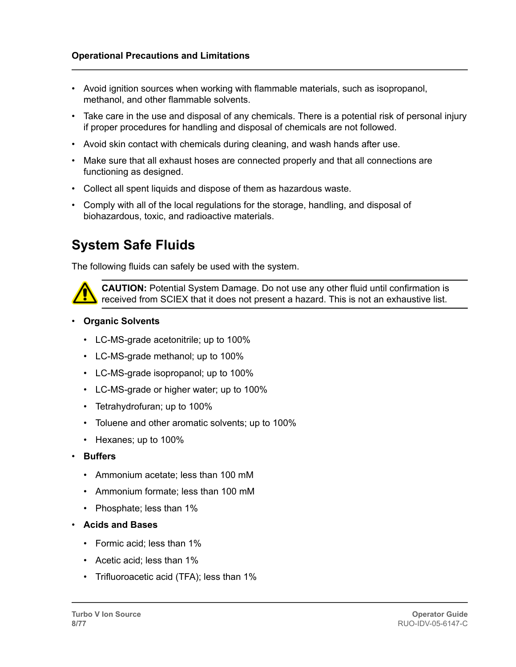- <span id="page-7-0"></span>• Avoid ignition sources when working with flammable materials, such as isopropanol, methanol, and other flammable solvents.
- Take care in the use and disposal of any chemicals. There is a potential risk of personal injury if proper procedures for handling and disposal of chemicals are not followed.
- Avoid skin contact with chemicals during cleaning, and wash hands after use.
- Make sure that all exhaust hoses are connected properly and that all connections are functioning as designed.
- Collect all spent liquids and dispose of them as hazardous waste.
- Comply with all of the local regulations for the storage, handling, and disposal of biohazardous, toxic, and radioactive materials.

#### **System Safe Fluids**

The following fluids can safely be used with the system.



**CAUTION:** Potential System Damage. Do not use any other fluid until confirmation is received from SCIEX that it does not present a hazard. This is not an exhaustive list.

#### • **Organic Solvents**

- LC-MS-grade acetonitrile; up to 100%
- LC-MS-grade methanol; up to 100%
- LC-MS-grade isopropanol; up to 100%
- LC-MS-grade or higher water; up to 100%
- Tetrahydrofuran; up to 100%
- Toluene and other aromatic solvents; up to 100%
- Hexanes; up to 100%
- **Buffers**
	- Ammonium acetate; less than 100 mM
	- Ammonium formate; less than 100 mM
	- Phosphate; less than 1%
- **Acids and Bases**
	- Formic acid; less than 1%
	- Acetic acid; less than 1%
	- Trifluoroacetic acid (TFA); less than 1%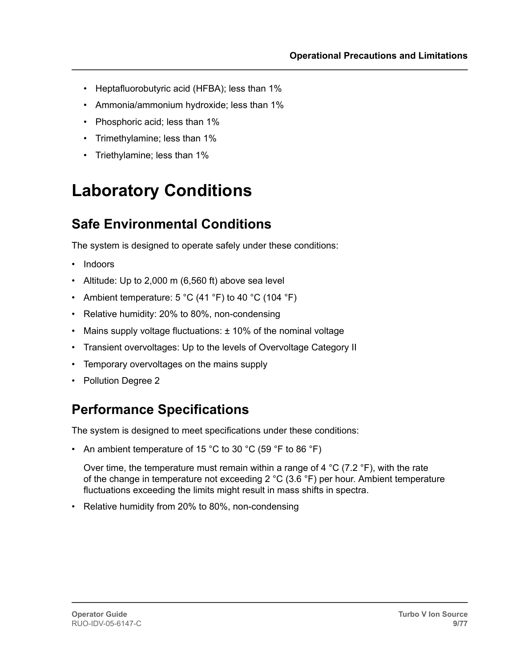- <span id="page-8-0"></span>• Heptafluorobutyric acid (HFBA); less than 1%
- Ammonia/ammonium hydroxide; less than 1%
- Phosphoric acid; less than 1%
- Trimethylamine; less than 1%
- Triethylamine; less than 1%

# **Laboratory Conditions**

### **Safe Environmental Conditions**

The system is designed to operate safely under these conditions:

- Indoors
- Altitude: Up to 2,000 m (6,560 ft) above sea level
- Ambient temperature:  $5^{\circ}$ C (41  $^{\circ}$ F) to 40  $^{\circ}$ C (104  $^{\circ}$ F)
- Relative humidity: 20% to 80%, non-condensing
- Mains supply voltage fluctuations: ± 10% of the nominal voltage
- Transient overvoltages: Up to the levels of Overvoltage Category II
- Temporary overvoltages on the mains supply
- Pollution Degree 2

### **Performance Specifications**

The system is designed to meet specifications under these conditions:

• An ambient temperature of 15 °C to 30 °C (59 °F to 86 °F)

Over time, the temperature must remain within a range of 4 °C (7.2 °F), with the rate of the change in temperature not exceeding 2 °C (3.6 °F) per hour. Ambient temperature fluctuations exceeding the limits might result in mass shifts in spectra.

• Relative humidity from 20% to 80%, non-condensing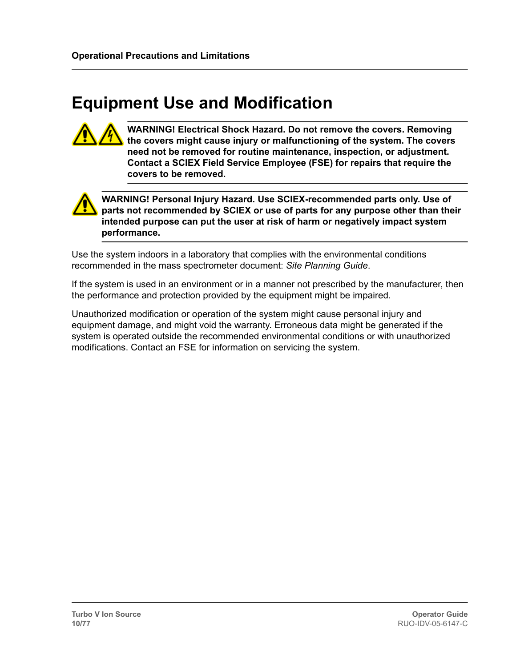# <span id="page-9-0"></span>**Equipment Use and Modification**



**WARNING! Electrical Shock Hazard. Do not remove the covers. Removing the covers might cause injury or malfunctioning of the system. The covers need not be removed for routine maintenance, inspection, or adjustment. Contact a SCIEX Field Service Employee (FSE) for repairs that require the covers to be removed.**



**WARNING! Personal Injury Hazard. Use SCIEX-recommended parts only. Use of parts not recommended by SCIEX or use of parts for any purpose other than their intended purpose can put the user at risk of harm or negatively impact system performance.**

Use the system indoors in a laboratory that complies with the environmental conditions recommended in the mass spectrometer document: *Site Planning Guide*.

If the system is used in an environment or in a manner not prescribed by the manufacturer, then the performance and protection provided by the equipment might be impaired.

Unauthorized modification or operation of the system might cause personal injury and equipment damage, and might void the warranty. Erroneous data might be generated if the system is operated outside the recommended environmental conditions or with unauthorized modifications. Contact an FSE for information on servicing the system.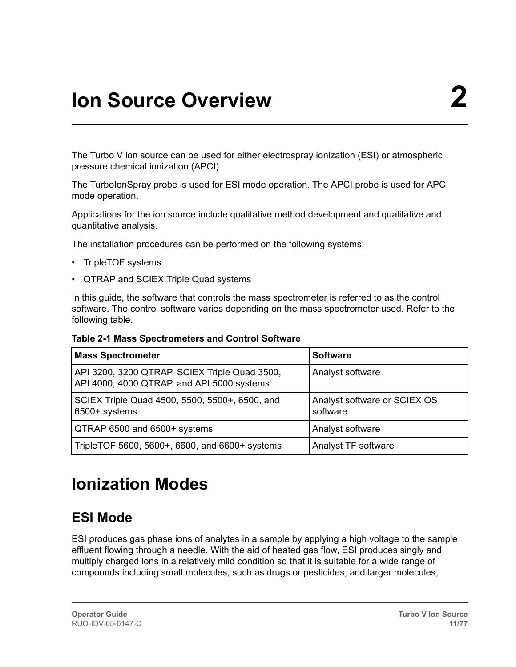<span id="page-10-0"></span>The Turbo V ion source can be used for either electrospray ionization (ESI) or atmospheric pressure chemical ionization (APCI).

The TurboIonSpray probe is used for ESI mode operation. The APCI probe is used for APCI mode operation.

Applications for the ion source include qualitative method development and qualitative and quantitative analysis.

The installation procedures can be performed on the following systems:

- TripleTOF systems
- QTRAP and SCIEX Triple Quad systems

In this guide, the software that controls the mass spectrometer is referred to as the control software. The control software varies depending on the mass spectrometer used. Refer to the following table.

**Table 2-1 Mass Spectrometers and Control Software**

| <b>Mass Spectrometer</b>                                                                    | <b>Software</b>                          |
|---------------------------------------------------------------------------------------------|------------------------------------------|
| API 3200, 3200 QTRAP, SCIEX Triple Quad 3500,<br>API 4000, 4000 QTRAP, and API 5000 systems | Analyst software                         |
| SCIEX Triple Quad 4500, 5500, 5500+, 6500, and<br>6500+ systems                             | Analyst software or SCIEX OS<br>software |
| QTRAP 6500 and 6500+ systems                                                                | Analyst software                         |
| TripleTOF 5600, 5600+, 6600, and 6600+ systems                                              | Analyst TF software                      |

# **Ionization Modes**

### **ESI Mode**

ESI produces gas phase ions of analytes in a sample by applying a high voltage to the sample effluent flowing through a needle. With the aid of heated gas flow, ESI produces singly and multiply charged ions in a relatively mild condition so that it is suitable for a wide range of compounds including small molecules, such as drugs or pesticides, and larger molecules,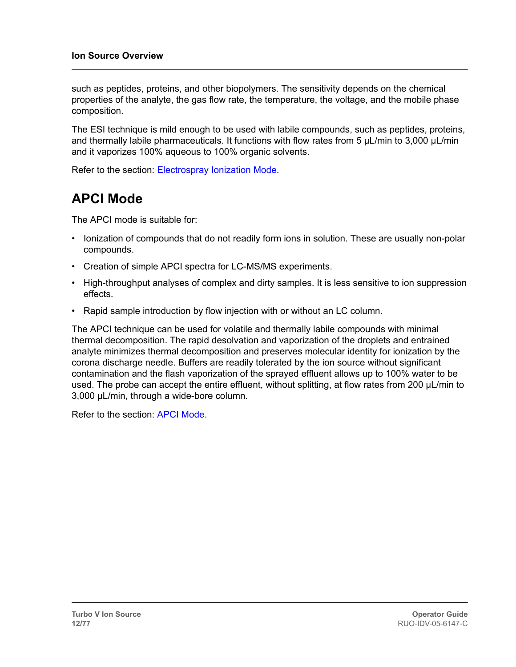<span id="page-11-0"></span>such as peptides, proteins, and other biopolymers. The sensitivity depends on the chemical properties of the analyte, the gas flow rate, the temperature, the voltage, and the mobile phase composition.

The ESI technique is mild enough to be used with labile compounds, such as peptides, proteins, and thermally labile pharmaceuticals. It functions with flow rates from 5 µL/min to 3,000 µL/min and it vaporizes 100% aqueous to 100% organic solvents.

Refer to the section: [Electrospray Ionization Mode](#page-48-0).

#### **APCI Mode**

The APCI mode is suitable for:

- Ionization of compounds that do not readily form ions in solution. These are usually non-polar compounds.
- Creation of simple APCI spectra for LC-MS/MS experiments.
- High-throughput analyses of complex and dirty samples. It is less sensitive to ion suppression effects.
- Rapid sample introduction by flow injection with or without an LC column.

The APCI technique can be used for volatile and thermally labile compounds with minimal thermal decomposition. The rapid desolvation and vaporization of the droplets and entrained analyte minimizes thermal decomposition and preserves molecular identity for ionization by the corona discharge needle. Buffers are readily tolerated by the ion source without significant contamination and the flash vaporization of the sprayed effluent allows up to 100% water to be used. The probe can accept the entire effluent, without splitting, at flow rates from 200 µL/min to 3,000 µL/min, through a wide-bore column.

Refer to the section: [APCI Mode.](#page-49-0)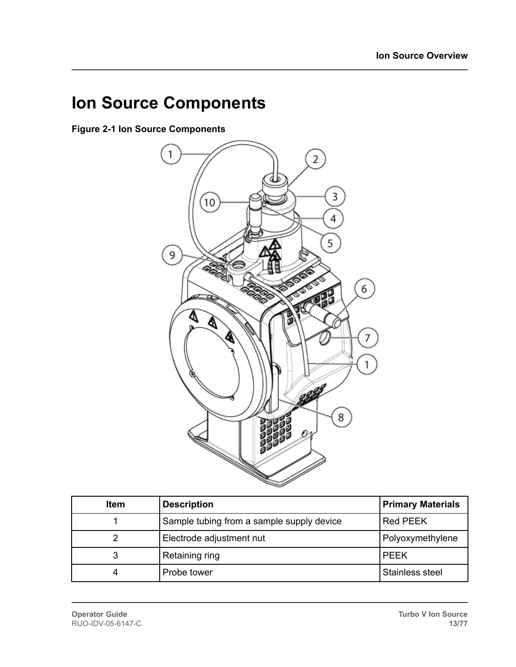# <span id="page-12-0"></span>**Ion Source Components**

**Figure 2-1 Ion Source Components**



| <b>Item</b> | <b>Description</b>                        | <b>Primary Materials</b> |
|-------------|-------------------------------------------|--------------------------|
|             | Sample tubing from a sample supply device | Red PEEK                 |
|             | Electrode adjustment nut                  | Polyoxymethylene         |
| 3           | Retaining ring                            | <b>PEEK</b>              |
|             | Probe tower                               | Stainless steel          |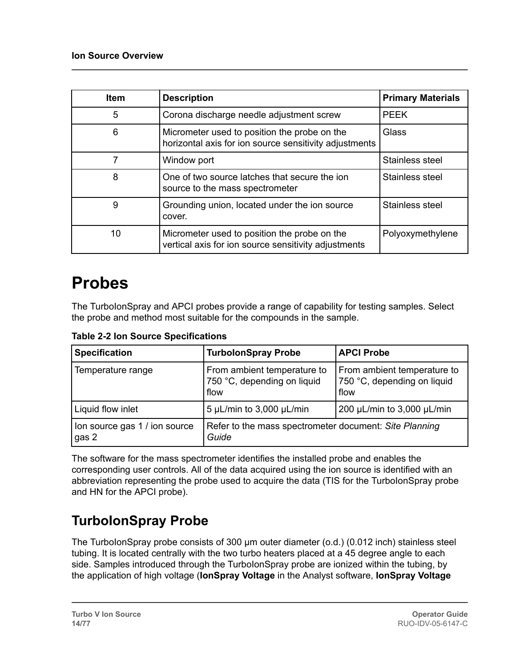<span id="page-13-0"></span>

| <b>Item</b> | <b>Description</b>                                                                                     | <b>Primary Materials</b> |
|-------------|--------------------------------------------------------------------------------------------------------|--------------------------|
| 5           | Corona discharge needle adjustment screw                                                               | <b>PEEK</b>              |
| 6           | Micrometer used to position the probe on the<br>horizontal axis for ion source sensitivity adjustments | Glass                    |
|             | Window port                                                                                            | Stainless steel          |
| 8           | One of two source latches that secure the jon<br>source to the mass spectrometer                       | Stainless steel          |
| 9           | Grounding union, located under the ion source<br>cover.                                                | Stainless steel          |
| 10          | Micrometer used to position the probe on the<br>vertical axis for ion source sensitivity adjustments   | Polyoxymethylene         |

# **Probes**

The TurboIonSpray and APCI probes provide a range of capability for testing samples. Select the probe and method most suitable for the compounds in the sample.

**Table 2-2 Ion Source Specifications**

| <b>Specification</b>                   | <b>TurbolonSpray Probe</b>                                         | <b>APCI Probe</b>                                                  |
|----------------------------------------|--------------------------------------------------------------------|--------------------------------------------------------------------|
| Temperature range                      | From ambient temperature to<br>750 °C, depending on liquid<br>flow | From ambient temperature to<br>750 °C, depending on liquid<br>flow |
| Liquid flow inlet                      | 5 µL/min to $3,000$ µL/min                                         | 200 µL/min to 3,000 µL/min                                         |
| Ion source gas 1 / ion source<br>gas 2 | Refer to the mass spectrometer document: Site Planning<br>Guide    |                                                                    |

The software for the mass spectrometer identifies the installed probe and enables the corresponding user controls. All of the data acquired using the ion source is identified with an abbreviation representing the probe used to acquire the data (TIS for the TurbolonSpray probe and HN for the APCI probe).

### **TurboIonSpray Probe**

The TurboIonSpray probe consists of 300 μm outer diameter (o.d.) (0.012 inch) stainless steel tubing. It is located centrally with the two turbo heaters placed at a 45 degree angle to each side. Samples introduced through the TurbolonSpray probe are ionized within the tubing, by the application of high voltage (**IonSpray Voltage** in the Analyst software, **IonSpray Voltage**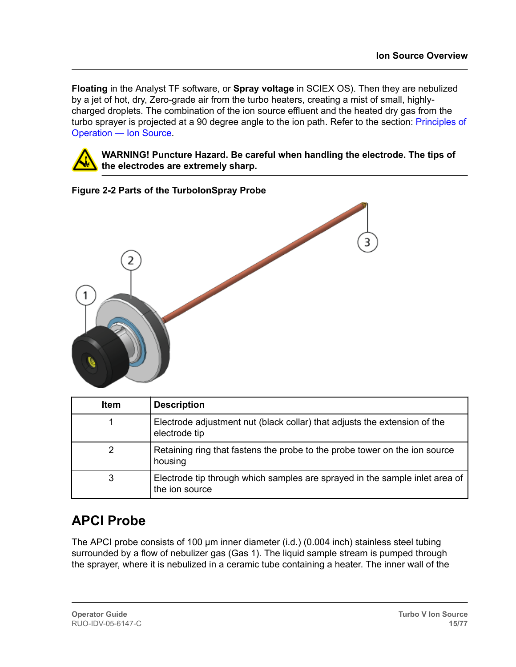<span id="page-14-0"></span>**Floating** in the Analyst TF software, or **Spray voltage** in SCIEX OS). Then they are nebulized by a jet of hot, dry, Zero-grade air from the turbo heaters, creating a mist of small, highlycharged droplets. The combination of the ion source effluent and the heated dry gas from the turbo sprayer is projected at a 90 degree angle to the ion path. Refer to the section: [Principles of](#page-48-0) [Operation — Ion Source.](#page-48-0)



**WARNING! Puncture Hazard. Be careful when handling the electrode. The tips of the electrodes are extremely sharp.**



| <b>Item</b> | <b>Description</b>                                                                            |
|-------------|-----------------------------------------------------------------------------------------------|
|             | Electrode adjustment nut (black collar) that adjusts the extension of the<br>electrode tip    |
| 2           | Retaining ring that fastens the probe to the probe tower on the ion source<br>housing         |
| 3           | Electrode tip through which samples are sprayed in the sample inlet area of<br>the jon source |

### **APCI Probe**

The APCI probe consists of 100 μm inner diameter (i.d.) (0.004 inch) stainless steel tubing surrounded by a flow of nebulizer gas (Gas 1). The liquid sample stream is pumped through the sprayer, where it is nebulized in a ceramic tube containing a heater. The inner wall of the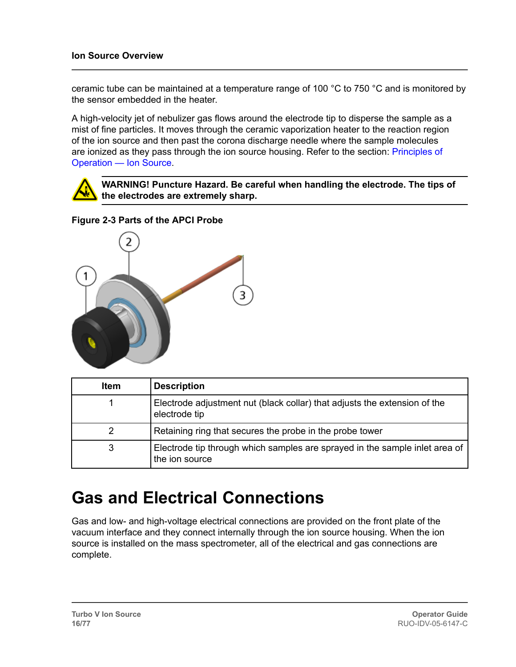<span id="page-15-0"></span>ceramic tube can be maintained at a temperature range of 100 °C to 750 °C and is monitored by the sensor embedded in the heater.

A high-velocity jet of nebulizer gas flows around the electrode tip to disperse the sample as a mist of fine particles. It moves through the ceramic vaporization heater to the reaction region of the ion source and then past the corona discharge needle where the sample molecules are ionized as they pass through the ion source housing. Refer to the section: [Principles of](#page-48-0) [Operation — Ion Source.](#page-48-0)



**WARNING! Puncture Hazard. Be careful when handling the electrode. The tips of the electrodes are extremely sharp.**

#### **Figure 2-3 Parts of the APCI Probe**



| <b>Item</b> | <b>Description</b>                                                                            |
|-------------|-----------------------------------------------------------------------------------------------|
|             | Electrode adjustment nut (black collar) that adjusts the extension of the<br>electrode tip    |
|             | Retaining ring that secures the probe in the probe tower                                      |
| 3           | Electrode tip through which samples are sprayed in the sample inlet area of<br>the ion source |

## **Gas and Electrical Connections**

Gas and low- and high-voltage electrical connections are provided on the front plate of the vacuum interface and they connect internally through the ion source housing. When the ion source is installed on the mass spectrometer, all of the electrical and gas connections are complete.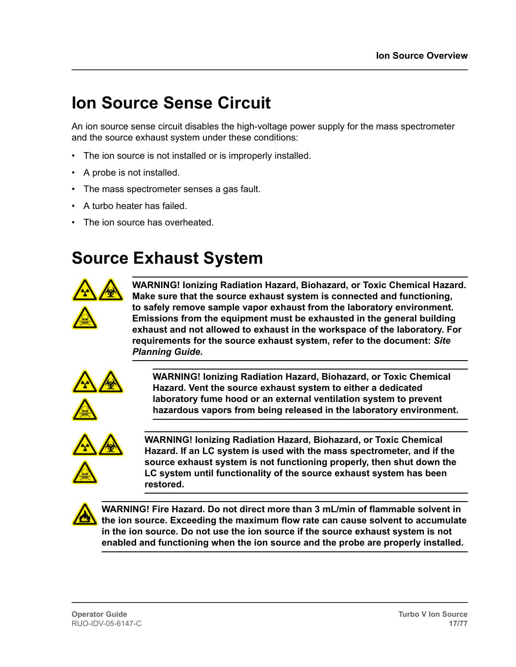# <span id="page-16-0"></span>**Ion Source Sense Circuit**

An ion source sense circuit disables the high-voltage power supply for the mass spectrometer and the source exhaust system under these conditions:

- The ion source is not installed or is improperly installed.
- A probe is not installed.
- The mass spectrometer senses a gas fault.
- A turbo heater has failed.
- The ion source has overheated.

### **Source Exhaust System**



**WARNING! Ionizing Radiation Hazard, Biohazard, or Toxic Chemical Hazard. Make sure that the source exhaust system is connected and functioning, to safely remove sample vapor exhaust from the laboratory environment. Emissions from the equipment must be exhausted in the general building exhaust and not allowed to exhaust in the workspace of the laboratory. For requirements for the source exhaust system, refer to the document:** *Site Planning Guide***.**



**WARNING! Ionizing Radiation Hazard, Biohazard, or Toxic Chemical Hazard. Vent the source exhaust system to either a dedicated laboratory fume hood or an external ventilation system to prevent hazardous vapors from being released in the laboratory environment.**



**WARNING! Ionizing Radiation Hazard, Biohazard, or Toxic Chemical Hazard. If an LC system is used with the mass spectrometer, and if the source exhaust system is not functioning properly, then shut down the LC system until functionality of the source exhaust system has been restored.**



**WARNING! Fire Hazard. Do not direct more than 3 mL/min of flammable solvent in the ion source. Exceeding the maximum flow rate can cause solvent to accumulate in the ion source. Do not use the ion source if the source exhaust system is not enabled and functioning when the ion source and the probe are properly installed.**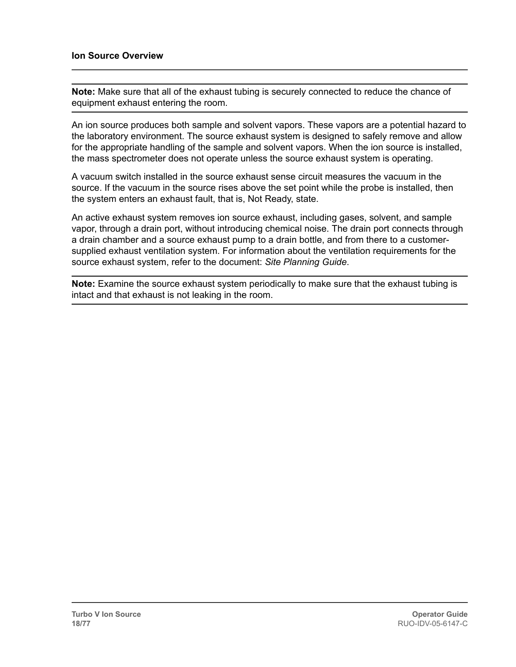**Note:** Make sure that all of the exhaust tubing is securely connected to reduce the chance of equipment exhaust entering the room.

An ion source produces both sample and solvent vapors. These vapors are a potential hazard to the laboratory environment. The source exhaust system is designed to safely remove and allow for the appropriate handling of the sample and solvent vapors. When the ion source is installed, the mass spectrometer does not operate unless the source exhaust system is operating.

A vacuum switch installed in the source exhaust sense circuit measures the vacuum in the source. If the vacuum in the source rises above the set point while the probe is installed, then the system enters an exhaust fault, that is, Not Ready, state.

An active exhaust system removes ion source exhaust, including gases, solvent, and sample vapor, through a drain port, without introducing chemical noise. The drain port connects through a drain chamber and a source exhaust pump to a drain bottle, and from there to a customersupplied exhaust ventilation system. For information about the ventilation requirements for the source exhaust system, refer to the document: *Site Planning Guide*.

**Note:** Examine the source exhaust system periodically to make sure that the exhaust tubing is intact and that exhaust is not leaking in the room.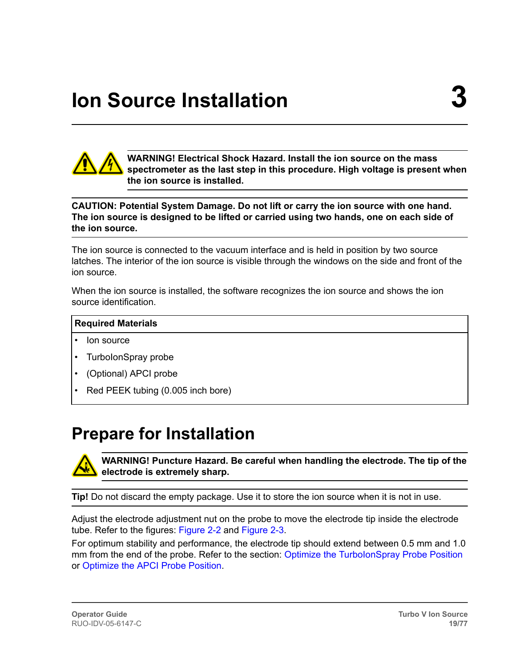<span id="page-18-0"></span>

**WARNING! Electrical Shock Hazard. Install the ion source on the mass spectrometer as the last step in this procedure. High voltage is present when the ion source is installed.**

#### **CAUTION: Potential System Damage. Do not lift or carry the ion source with one hand. The ion source is designed to be lifted or carried using two hands, one on each side of the ion source.**

The ion source is connected to the vacuum interface and is held in position by two source latches. The interior of the ion source is visible through the windows on the side and front of the ion source.

When the ion source is installed, the software recognizes the ion source and shows the ion source identification.

#### **Required Materials**

- lon source
- TurboIonSpray probe
- (Optional) APCI probe
- Red PEEK tubing (0.005 inch bore)

## **Prepare for Installation**



**WARNING! Puncture Hazard. Be careful when handling the electrode. The tip of the electrode is extremely sharp.**

**Tip!** Do not discard the empty package. Use it to store the ion source when it is not in use.

Adjust the electrode adjustment nut on the probe to move the electrode tip inside the electrode tube. Refer to the figures: [Figure 2-2](#page-14-0) and [Figure 2-3.](#page-15-0)

For optimum stability and performance, the electrode tip should extend between 0.5 mm and 1.0 mm from the end of the probe. Refer to the section: Optimize the TurbolonSpray Probe Position or [Optimize the APCI Probe Position.](#page-65-0)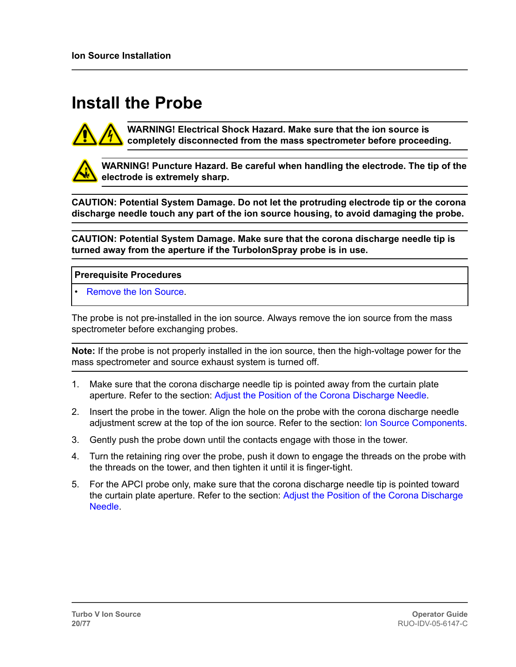# <span id="page-19-0"></span>**Install the Probe**



**WARNING! Electrical Shock Hazard. Make sure that the ion source is completely disconnected from the mass spectrometer before proceeding.**

**WARNING! Puncture Hazard. Be careful when handling the electrode. The tip of the electrode is extremely sharp.**

**CAUTION: Potential System Damage. Do not let the protruding electrode tip or the corona discharge needle touch any part of the ion source housing, to avoid damaging the probe.**

**CAUTION: Potential System Damage. Make sure that the corona discharge needle tip is turned away from the aperture if the TurboIonSpray probe is in use.**

#### **Prerequisite Procedures**

• [Remove the Ion Source](#page-36-0).

The probe is not pre-installed in the ion source. Always remove the ion source from the mass spectrometer before exchanging probes.

**Note:** If the probe is not properly installed in the ion source, then the high-voltage power for the mass spectrometer and source exhaust system is turned off.

- 1. Make sure that the corona discharge needle tip is pointed away from the curtain plate aperture. Refer to the section: [Adjust the Position of the Corona Discharge Needle](#page-65-0).
- 2. Insert the probe in the tower. Align the hole on the probe with the corona discharge needle adjustment screw at the top of the ion source. Refer to the section: [Ion Source Components](#page-12-0).
- 3. Gently push the probe down until the contacts engage with those in the tower.
- 4. Turn the retaining ring over the probe, push it down to engage the threads on the probe with the threads on the tower, and then tighten it until it is finger-tight.
- 5. For the APCI probe only, make sure that the corona discharge needle tip is pointed toward the curtain plate aperture. Refer to the section: [Adjust the Position of the Corona Discharge](#page-65-0) [Needle](#page-65-0).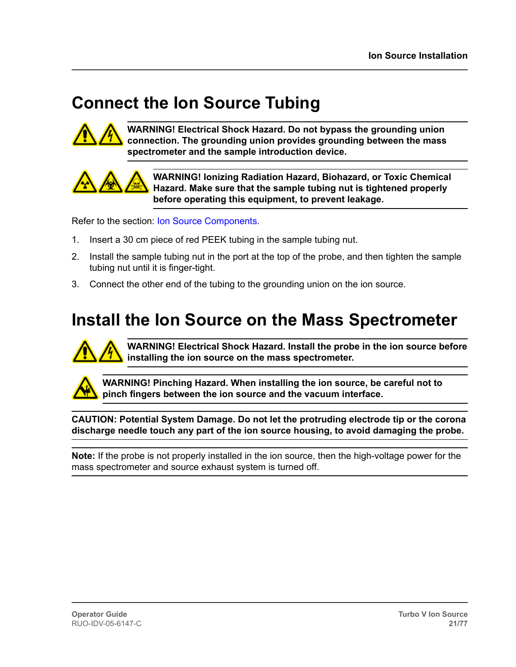# <span id="page-20-0"></span>**Connect the Ion Source Tubing**



**WARNING! Electrical Shock Hazard. Do not bypass the grounding union connection. The grounding union provides grounding between the mass spectrometer and the sample introduction device.**



**WARNING! Ionizing Radiation Hazard, Biohazard, or Toxic Chemical Hazard. Make sure that the sample tubing nut is tightened properly before operating this equipment, to prevent leakage.**

Refer to the section: [Ion Source Components](#page-12-0).

- 1. Insert a 30 cm piece of red PEEK tubing in the sample tubing nut.
- 2. Install the sample tubing nut in the port at the top of the probe, and then tighten the sample tubing nut until it is finger-tight.
- 3. Connect the other end of the tubing to the grounding union on the ion source.

### **Install the Ion Source on the Mass Spectrometer**



**WARNING! Electrical Shock Hazard. Install the probe in the ion source before installing the ion source on the mass spectrometer.**



**WARNING! Pinching Hazard. When installing the ion source, be careful not to pinch fingers between the ion source and the vacuum interface.**

**CAUTION: Potential System Damage. Do not let the protruding electrode tip or the corona discharge needle touch any part of the ion source housing, to avoid damaging the probe.**

**Note:** If the probe is not properly installed in the ion source, then the high-voltage power for the mass spectrometer and source exhaust system is turned off.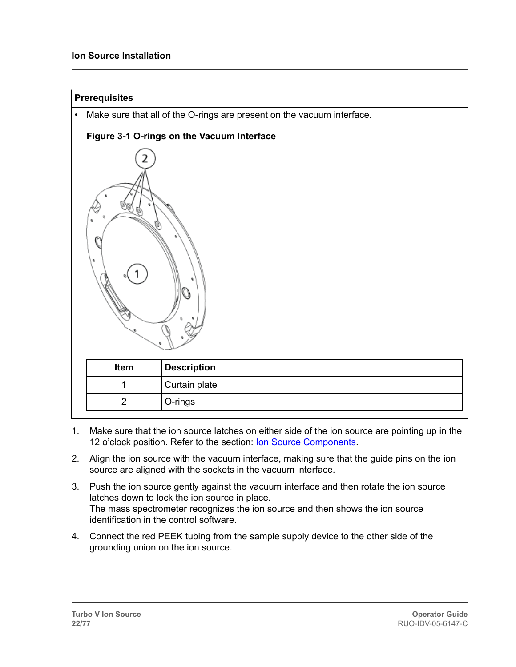| <b>Prerequisites</b> |                |                                                                        |
|----------------------|----------------|------------------------------------------------------------------------|
| $\bullet$            |                | Make sure that all of the O-rings are present on the vacuum interface. |
|                      |                | Figure 3-1 O-rings on the Vacuum Interface                             |
| e                    |                |                                                                        |
|                      | Item           | <b>Description</b>                                                     |
|                      | 1              | Curtain plate                                                          |
|                      | $\overline{2}$ | O-rings                                                                |
|                      |                |                                                                        |

- 1. Make sure that the ion source latches on either side of the ion source are pointing up in the 12 o'clock position. Refer to the section: [Ion Source Components](#page-12-0).
- 2. Align the ion source with the vacuum interface, making sure that the guide pins on the ion source are aligned with the sockets in the vacuum interface.
- 3. Push the ion source gently against the vacuum interface and then rotate the ion source latches down to lock the ion source in place. The mass spectrometer recognizes the ion source and then shows the ion source identification in the control software.
- 4. Connect the red PEEK tubing from the sample supply device to the other side of the grounding union on the ion source.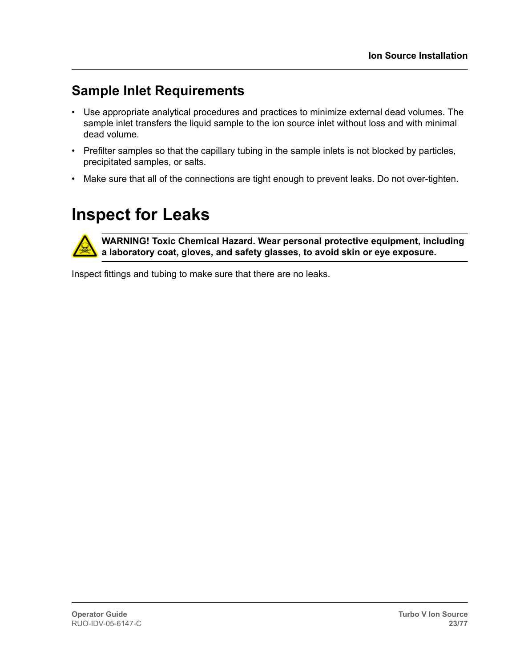### <span id="page-22-0"></span>**Sample Inlet Requirements**

- Use appropriate analytical procedures and practices to minimize external dead volumes. The sample inlet transfers the liquid sample to the ion source inlet without loss and with minimal dead volume.
- Prefilter samples so that the capillary tubing in the sample inlets is not blocked by particles, precipitated samples, or salts.
- Make sure that all of the connections are tight enough to prevent leaks. Do not over-tighten.

# **Inspect for Leaks**

**WARNING! Toxic Chemical Hazard. Wear personal protective equipment, including a laboratory coat, gloves, and safety glasses, to avoid skin or eye exposure.**

Inspect fittings and tubing to make sure that there are no leaks.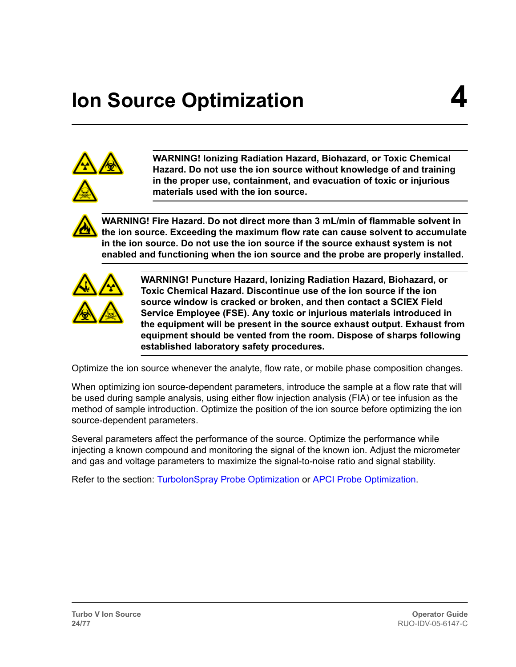# <span id="page-23-0"></span>**Ion Source Optimization 4**



**WARNING! Ionizing Radiation Hazard, Biohazard, or Toxic Chemical Hazard. Do not use the ion source without knowledge of and training in the proper use, containment, and evacuation of toxic or injurious materials used with the ion source.**

**WARNING! Fire Hazard. Do not direct more than 3 mL/min of flammable solvent in the ion source. Exceeding the maximum flow rate can cause solvent to accumulate in the ion source. Do not use the ion source if the source exhaust system is not enabled and functioning when the ion source and the probe are properly installed.**



**WARNING! Puncture Hazard, Ionizing Radiation Hazard, Biohazard, or Toxic Chemical Hazard. Discontinue use of the ion source if the ion source window is cracked or broken, and then contact a SCIEX Field Service Employee (FSE). Any toxic or injurious materials introduced in the equipment will be present in the source exhaust output. Exhaust from equipment should be vented from the room. Dispose of sharps following established laboratory safety procedures.**

Optimize the ion source whenever the analyte, flow rate, or mobile phase composition changes.

When optimizing ion source-dependent parameters, introduce the sample at a flow rate that will be used during sample analysis, using either flow injection analysis (FIA) or tee infusion as the method of sample introduction. Optimize the position of the ion source before optimizing the ion source-dependent parameters.

Several parameters affect the performance of the source. Optimize the performance while injecting a known compound and monitoring the signal of the known ion. Adjust the micrometer and gas and voltage parameters to maximize the signal-to-noise ratio and signal stability.

Refer to the section: [TurboIonSpray Probe Optimization](#page-24-0) or [APCI Probe Optimization.](#page-62-0)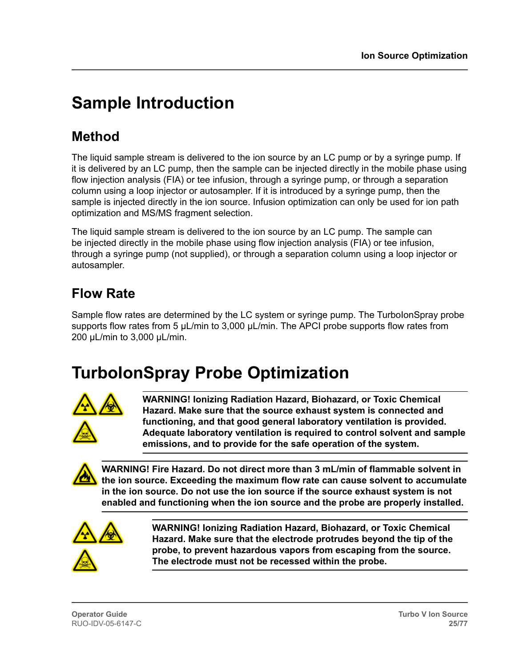# <span id="page-24-0"></span>**Sample Introduction**

### **Method**

The liquid sample stream is delivered to the ion source by an LC pump or by a syringe pump. If it is delivered by an LC pump, then the sample can be injected directly in the mobile phase using flow injection analysis (FIA) or tee infusion, through a syringe pump, or through a separation column using a loop injector or autosampler. If it is introduced by a syringe pump, then the sample is injected directly in the ion source. Infusion optimization can only be used for ion path optimization and MS/MS fragment selection.

The liquid sample stream is delivered to the ion source by an LC pump. The sample can be injected directly in the mobile phase using flow injection analysis (FIA) or tee infusion, through a syringe pump (not supplied), or through a separation column using a loop injector or autosampler.

### **Flow Rate**

Sample flow rates are determined by the LC system or syringe pump. The TurbolonSpray probe supports flow rates from 5  $\mu$ L/min to 3,000  $\mu$ L/min. The APCI probe supports flow rates from 200 µL/min to 3,000 µL/min.

# **TurboIonSpray Probe Optimization**



**WARNING! Ionizing Radiation Hazard, Biohazard, or Toxic Chemical Hazard. Make sure that the source exhaust system is connected and functioning, and that good general laboratory ventilation is provided. Adequate laboratory ventilation is required to control solvent and sample emissions, and to provide for the safe operation of the system.**

**WARNING! Fire Hazard. Do not direct more than 3 mL/min of flammable solvent in the ion source. Exceeding the maximum flow rate can cause solvent to accumulate in the ion source. Do not use the ion source if the source exhaust system is not enabled and functioning when the ion source and the probe are properly installed.**



**WARNING! Ionizing Radiation Hazard, Biohazard, or Toxic Chemical Hazard. Make sure that the electrode protrudes beyond the tip of the probe, to prevent hazardous vapors from escaping from the source. The electrode must not be recessed within the probe.**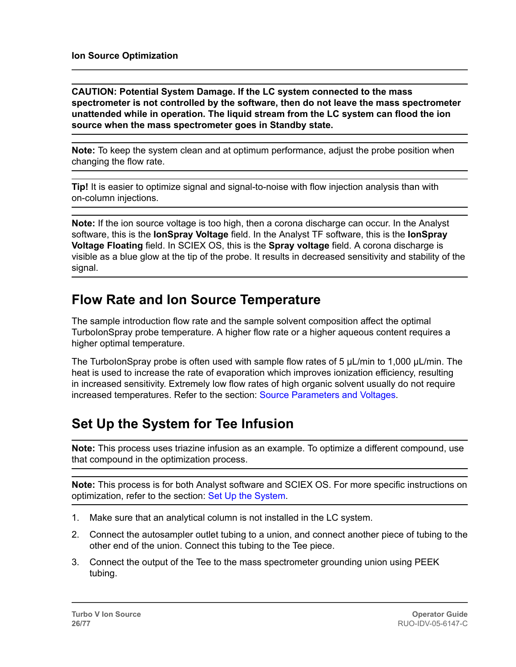<span id="page-25-0"></span>**CAUTION: Potential System Damage. If the LC system connected to the mass spectrometer is not controlled by the software, then do not leave the mass spectrometer unattended while in operation. The liquid stream from the LC system can flood the ion source when the mass spectrometer goes in Standby state.**

**Note:** To keep the system clean and at optimum performance, adjust the probe position when changing the flow rate.

**Tip!** It is easier to optimize signal and signal-to-noise with flow injection analysis than with on-column injections.

**Note:** If the ion source voltage is too high, then a corona discharge can occur. In the Analyst software, this is the **IonSpray Voltage** field. In the Analyst TF software, this is the **IonSpray Voltage Floating** field. In SCIEX OS, this is the **Spray voltage** field. A corona discharge is visible as a blue glow at the tip of the probe. It results in decreased sensitivity and stability of the signal.

#### **Flow Rate and Ion Source Temperature**

The sample introduction flow rate and the sample solvent composition affect the optimal TurboIonSpray probe temperature. A higher flow rate or a higher aqueous content requires a higher optimal temperature.

The TurbolonSpray probe is often used with sample flow rates of 5  $\mu$ L/min to 1,000  $\mu$ L/min. The heat is used to increase the rate of evaporation which improves ionization efficiency, resulting in increased sensitivity. Extremely low flow rates of high organic solvent usually do not require increased temperatures. Refer to the section: [Source Parameters and Voltages.](#page-54-0)

### **Set Up the System for Tee Infusion**

**Note:** This process uses triazine infusion as an example. To optimize a different compound, use that compound in the optimization process.

**Note:** This process is for both Analyst software and SCIEX OS. For more specific instructions on optimization, refer to the section: [Set Up the System.](#page-61-0)

- 1. Make sure that an analytical column is not installed in the LC system.
- 2. Connect the autosampler outlet tubing to a union, and connect another piece of tubing to the other end of the union. Connect this tubing to the Tee piece.
- 3. Connect the output of the Tee to the mass spectrometer grounding union using PEEK tubing.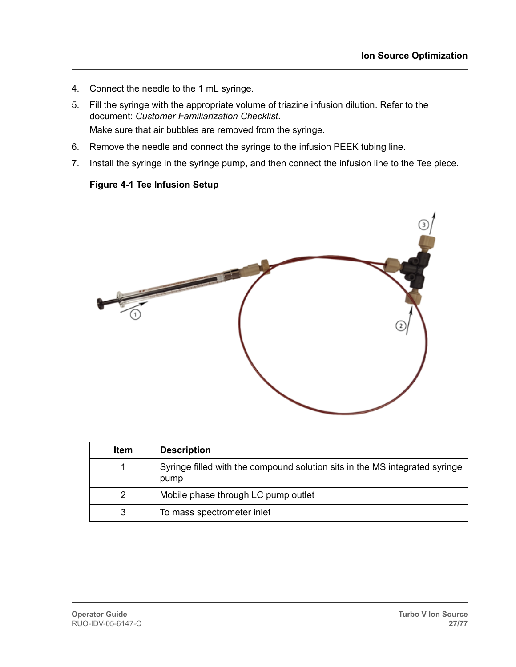- 4. Connect the needle to the 1 mL syringe.
- 5. Fill the syringe with the appropriate volume of triazine infusion dilution. Refer to the document: *Customer Familiarization Checklist*. Make sure that air bubbles are removed from the syringe.
- 6. Remove the needle and connect the syringe to the infusion PEEK tubing line.
- 7. Install the syringe in the syringe pump, and then connect the infusion line to the Tee piece.

#### **Figure 4-1 Tee Infusion Setup**



| <b>Item</b> | <b>Description</b>                                                                  |
|-------------|-------------------------------------------------------------------------------------|
|             | Syringe filled with the compound solution sits in the MS integrated syringe<br>pump |
| 2           | Mobile phase through LC pump outlet                                                 |
| 3           | To mass spectrometer inlet                                                          |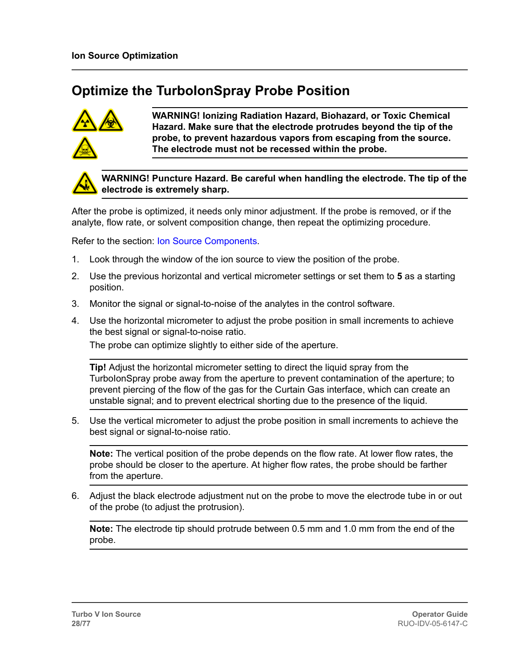### <span id="page-27-0"></span>**Optimize the TurboIonSpray Probe Position**



**WARNING! Ionizing Radiation Hazard, Biohazard, or Toxic Chemical Hazard. Make sure that the electrode protrudes beyond the tip of the probe, to prevent hazardous vapors from escaping from the source. The electrode must not be recessed within the probe.**



**WARNING! Puncture Hazard. Be careful when handling the electrode. The tip of the electrode is extremely sharp.**

After the probe is optimized, it needs only minor adjustment. If the probe is removed, or if the analyte, flow rate, or solvent composition change, then repeat the optimizing procedure.

Refer to the section: [Ion Source Components](#page-12-0).

- 1. Look through the window of the ion source to view the position of the probe.
- 2. Use the previous horizontal and vertical micrometer settings or set them to **5** as a starting position.
- 3. Monitor the signal or signal-to-noise of the analytes in the control software.
- 4. Use the horizontal micrometer to adjust the probe position in small increments to achieve the best signal or signal-to-noise ratio.

The probe can optimize slightly to either side of the aperture.

**Tip!** Adjust the horizontal micrometer setting to direct the liquid spray from the TurboIonSpray probe away from the aperture to prevent contamination of the aperture; to prevent piercing of the flow of the gas for the Curtain Gas interface, which can create an unstable signal; and to prevent electrical shorting due to the presence of the liquid.

5. Use the vertical micrometer to adjust the probe position in small increments to achieve the best signal or signal-to-noise ratio.

**Note:** The vertical position of the probe depends on the flow rate. At lower flow rates, the probe should be closer to the aperture. At higher flow rates, the probe should be farther from the aperture.

6. Adjust the black electrode adjustment nut on the probe to move the electrode tube in or out of the probe (to adjust the protrusion).

**Note:** The electrode tip should protrude between 0.5 mm and 1.0 mm from the end of the probe.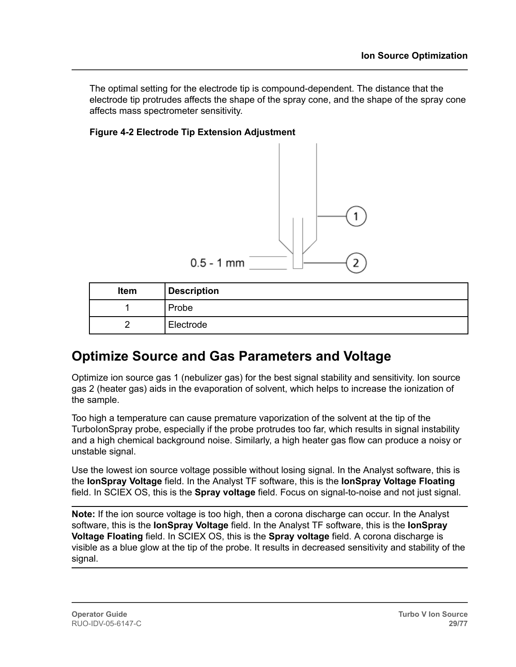<span id="page-28-0"></span>The optimal setting for the electrode tip is compound-dependent. The distance that the electrode tip protrudes affects the shape of the spray cone, and the shape of the spray cone affects mass spectrometer sensitivity.

#### **Figure 4-2 Electrode Tip Extension Adjustment**



| Item | <b>Description</b> |
|------|--------------------|
|      | Probe              |
|      | Electrode          |

#### **Optimize Source and Gas Parameters and Voltage**

Optimize ion source gas 1 (nebulizer gas) for the best signal stability and sensitivity. Ion source gas 2 (heater gas) aids in the evaporation of solvent, which helps to increase the ionization of the sample.

Too high a temperature can cause premature vaporization of the solvent at the tip of the TurboIonSpray probe, especially if the probe protrudes too far, which results in signal instability and a high chemical background noise. Similarly, a high heater gas flow can produce a noisy or unstable signal.

Use the lowest ion source voltage possible without losing signal. In the Analyst software, this is the **IonSpray Voltage** field. In the Analyst TF software, this is the **IonSpray Voltage Floating** field. In SCIEX OS, this is the **Spray voltage** field. Focus on signal-to-noise and not just signal.

**Note:** If the ion source voltage is too high, then a corona discharge can occur. In the Analyst software, this is the **IonSpray Voltage** field. In the Analyst TF software, this is the **IonSpray Voltage Floating** field. In SCIEX OS, this is the **Spray voltage** field. A corona discharge is visible as a blue glow at the tip of the probe. It results in decreased sensitivity and stability of the signal.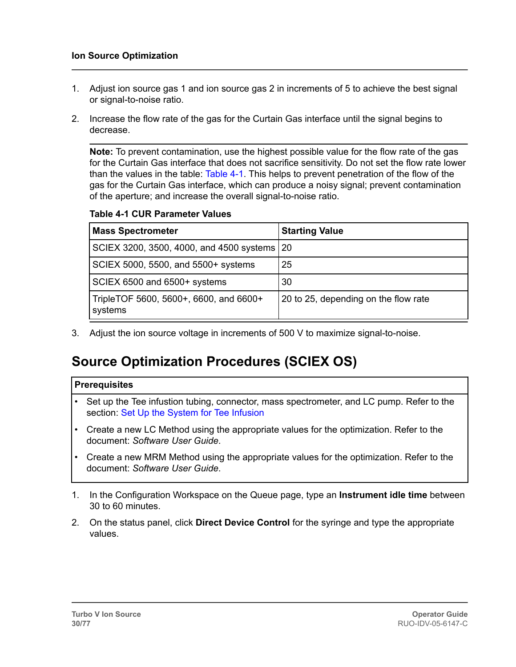- <span id="page-29-0"></span>1. Adjust ion source gas 1 and ion source gas 2 in increments of 5 to achieve the best signal or signal-to-noise ratio.
- 2. Increase the flow rate of the gas for the Curtain Gas interface until the signal begins to decrease.

**Note:** To prevent contamination, use the highest possible value for the flow rate of the gas for the Curtain Gas interface that does not sacrifice sensitivity. Do not set the flow rate lower than the values in the table: Table 4-1. This helps to prevent penetration of the flow of the gas for the Curtain Gas interface, which can produce a noisy signal; prevent contamination of the aperture; and increase the overall signal-to-noise ratio.

#### **Table 4-1 CUR Parameter Values**

| <b>Mass Spectrometer</b>                          | <b>Starting Value</b>                |
|---------------------------------------------------|--------------------------------------|
| SCIEX 3200, 3500, 4000, and 4500 systems   20     |                                      |
| SCIEX 5000, 5500, and 5500+ systems               | 25                                   |
| SCIEX 6500 and 6500+ systems                      | 30                                   |
| TripleTOF 5600, 5600+, 6600, and 6600+<br>systems | 20 to 25, depending on the flow rate |

3. Adjust the ion source voltage in increments of 500 V to maximize signal-to-noise.

### **Source Optimization Procedures (SCIEX OS)**

#### **Prerequisites**

- Set up the Tee infustion tubing, connector, mass spectrometer, and LC pump. Refer to the section: [Set Up the System for Tee Infusion](#page-25-0)
- Create a new LC Method using the appropriate values for the optimization. Refer to the document: *Software User Guide*.
- Create a new MRM Method using the appropriate values for the optimization. Refer to the document: *Software User Guide*.
- 1. In the Configuration Workspace on the Queue page, type an **Instrument idle time** between 30 to 60 minutes.
- 2. On the status panel, click **Direct Device Control** for the syringe and type the appropriate values.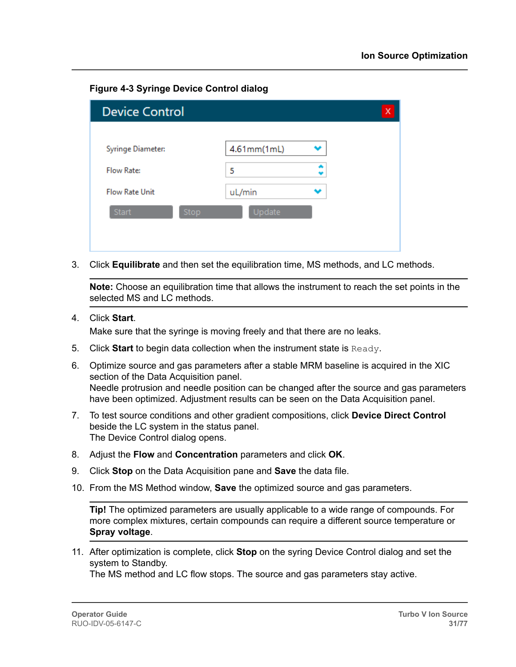**Figure 4-3 Syringe Device Control dialog**

| <b>Device Control</b> |             | х |
|-----------------------|-------------|---|
|                       |             |   |
| Syringe Diameter:     | 4.61mm(1mL) |   |
| Flow Rate:            | 5           |   |
| <b>Flow Rate Unit</b> | uL/min      |   |
| Start<br>Stop         | Update      |   |
|                       |             |   |
|                       |             |   |

3. Click **Equilibrate** and then set the equilibration time, MS methods, and LC methods.

**Note:** Choose an equilibration time that allows the instrument to reach the set points in the selected MS and LC methods.

4. Click **Start**.

Make sure that the syringe is moving freely and that there are no leaks.

- 5. Click **Start** to begin data collection when the instrument state is Ready.
- 6. Optimize source and gas parameters after a stable MRM baseline is acquired in the XIC section of the Data Acquisition panel. Needle protrusion and needle position can be changed after the source and gas parameters have been optimized. Adjustment results can be seen on the Data Acquisition panel.
- 7. To test source conditions and other gradient compositions, click **Device Direct Control** beside the LC system in the status panel. The Device Control dialog opens.
- 8. Adjust the **Flow** and **Concentration** parameters and click **OK**.
- 9. Click **Stop** on the Data Acquisition pane and **Save** the data file.
- 10. From the MS Method window, **Save** the optimized source and gas parameters.

**Tip!** The optimized parameters are usually applicable to a wide range of compounds. For more complex mixtures, certain compounds can require a different source temperature or **Spray voltage**.

11. After optimization is complete, click **Stop** on the syring Device Control dialog and set the system to Standby.

The MS method and LC flow stops. The source and gas parameters stay active.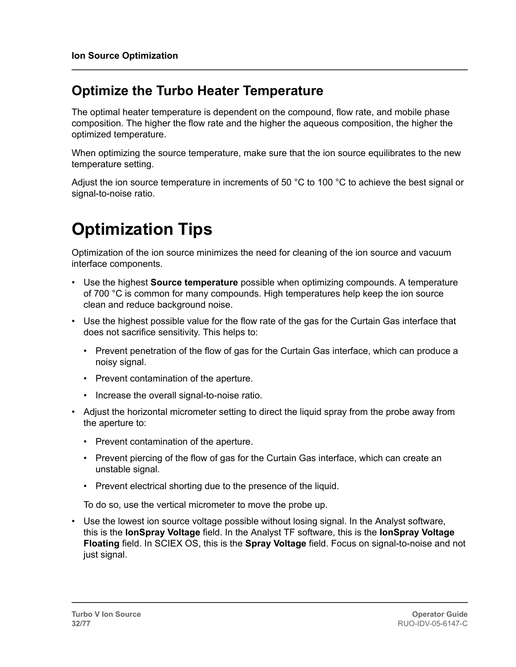#### <span id="page-31-0"></span>**Optimize the Turbo Heater Temperature**

The optimal heater temperature is dependent on the compound, flow rate, and mobile phase composition. The higher the flow rate and the higher the aqueous composition, the higher the optimized temperature.

When optimizing the source temperature, make sure that the ion source equilibrates to the new temperature setting.

Adjust the ion source temperature in increments of 50 °C to 100 °C to achieve the best signal or signal-to-noise ratio.

# **Optimization Tips**

Optimization of the ion source minimizes the need for cleaning of the ion source and vacuum interface components.

- Use the highest **Source temperature** possible when optimizing compounds. A temperature of 700 °C is common for many compounds. High temperatures help keep the ion source clean and reduce background noise.
- Use the highest possible value for the flow rate of the gas for the Curtain Gas interface that does not sacrifice sensitivity. This helps to:
	- Prevent penetration of the flow of gas for the Curtain Gas interface, which can produce a noisy signal.
	- Prevent contamination of the aperture.
	- Increase the overall signal-to-noise ratio.
- Adjust the horizontal micrometer setting to direct the liquid spray from the probe away from the aperture to:
	- Prevent contamination of the aperture.
	- Prevent piercing of the flow of gas for the Curtain Gas interface, which can create an unstable signal.
	- Prevent electrical shorting due to the presence of the liquid.

To do so, use the vertical micrometer to move the probe up.

• Use the lowest ion source voltage possible without losing signal. In the Analyst software, this is the **IonSpray Voltage** field. In the Analyst TF software, this is the **IonSpray Voltage Floating** field. In SCIEX OS, this is the **Spray Voltage** field. Focus on signal-to-noise and not just signal.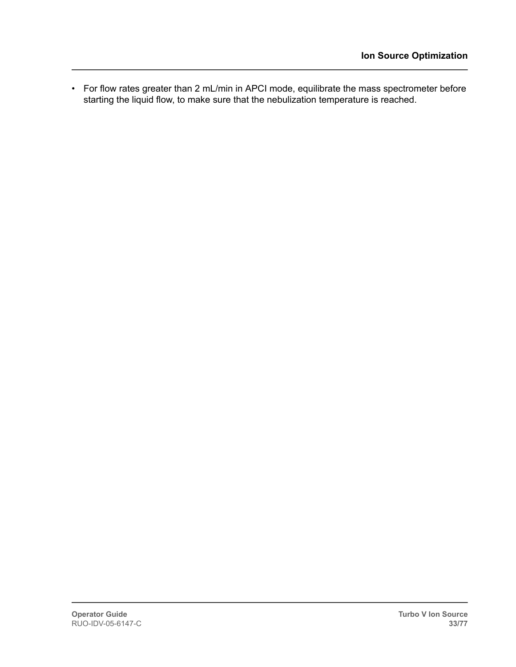• For flow rates greater than 2 mL/min in APCI mode, equilibrate the mass spectrometer before starting the liquid flow, to make sure that the nebulization temperature is reached.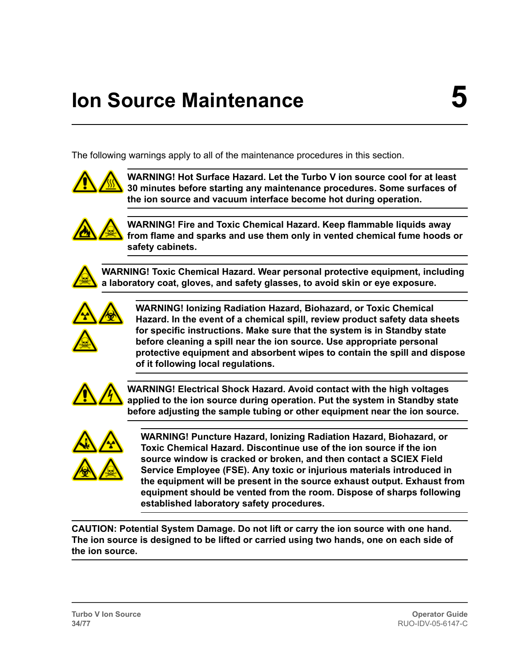# <span id="page-33-0"></span>**Ion Source Maintenance**

The following warnings apply to all of the maintenance procedures in this section.



**WARNING! Hot Surface Hazard. Let the Turbo V ion source cool for at least 30 minutes before starting any maintenance procedures. Some surfaces of the ion source and vacuum interface become hot during operation.**



**WARNING! Fire and Toxic Chemical Hazard. Keep flammable liquids away from flame and sparks and use them only in vented chemical fume hoods or safety cabinets.**

**WARNING! Toxic Chemical Hazard. Wear personal protective equipment, including a laboratory coat, gloves, and safety glasses, to avoid skin or eye exposure.**



**WARNING! Ionizing Radiation Hazard, Biohazard, or Toxic Chemical Hazard. In the event of a chemical spill, review product safety data sheets for specific instructions. Make sure that the system is in Standby state before cleaning a spill near the ion source. Use appropriate personal protective equipment and absorbent wipes to contain the spill and dispose of it following local regulations.**



**WARNING! Electrical Shock Hazard. Avoid contact with the high voltages applied to the ion source during operation. Put the system in Standby state before adjusting the sample tubing or other equipment near the ion source.**



**WARNING! Puncture Hazard, Ionizing Radiation Hazard, Biohazard, or Toxic Chemical Hazard. Discontinue use of the ion source if the ion source window is cracked or broken, and then contact a SCIEX Field Service Employee (FSE). Any toxic or injurious materials introduced in the equipment will be present in the source exhaust output. Exhaust from equipment should be vented from the room. Dispose of sharps following established laboratory safety procedures.**

**CAUTION: Potential System Damage. Do not lift or carry the ion source with one hand. The ion source is designed to be lifted or carried using two hands, one on each side of the ion source.**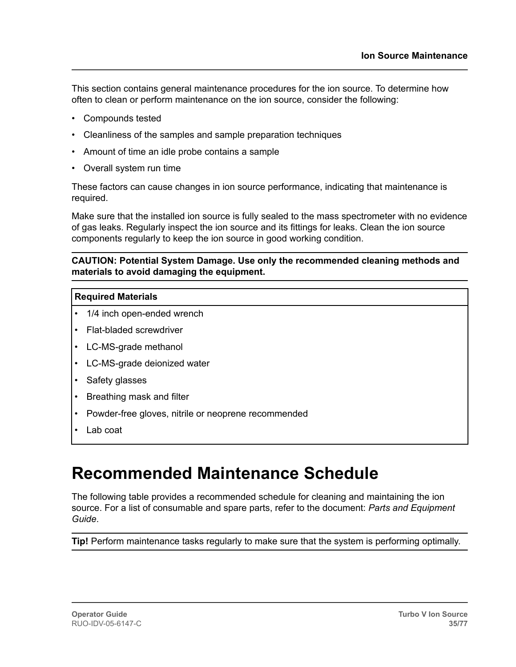<span id="page-34-0"></span>This section contains general maintenance procedures for the ion source. To determine how often to clean or perform maintenance on the ion source, consider the following:

- Compounds tested
- Cleanliness of the samples and sample preparation techniques
- Amount of time an idle probe contains a sample
- Overall system run time

These factors can cause changes in ion source performance, indicating that maintenance is required.

Make sure that the installed ion source is fully sealed to the mass spectrometer with no evidence of gas leaks. Regularly inspect the ion source and its fittings for leaks. Clean the ion source components regularly to keep the ion source in good working condition.

#### **CAUTION: Potential System Damage. Use only the recommended cleaning methods and materials to avoid damaging the equipment.**

#### **Required Materials**

- 1/4 inch open-ended wrench
- Flat-bladed screwdriver
- LC-MS-grade methanol
- LC-MS-grade deionized water
- Safety glasses
- Breathing mask and filter
- Powder-free gloves, nitrile or neoprene recommended
- Lab coat

### **Recommended Maintenance Schedule**

The following table provides a recommended schedule for cleaning and maintaining the ion source. For a list of consumable and spare parts, refer to the document: *Parts and Equipment Guide*.

**Tip!** Perform maintenance tasks regularly to make sure that the system is performing optimally.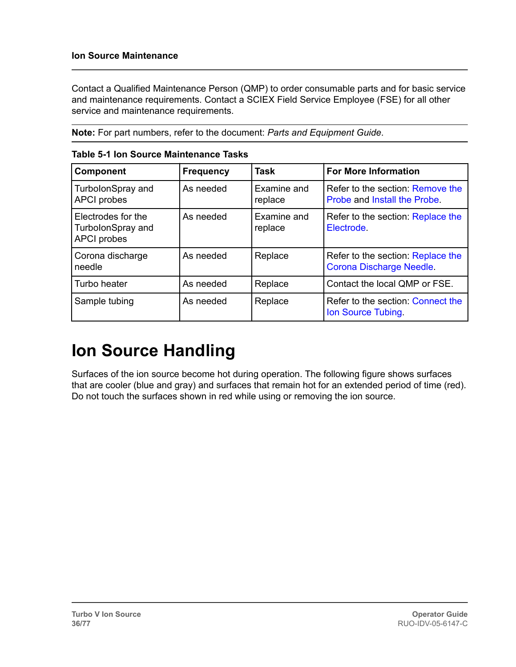<span id="page-35-0"></span>Contact a Qualified Maintenance Person (QMP) to order consumable parts and for basic service and maintenance requirements. Contact a SCIEX Field Service Employee (FSE) for all other service and maintenance requirements.

**Note:** For part numbers, refer to the document: *Parts and Equipment Guide*.

| <b>Component</b>                                              | <b>Frequency</b> | <b>Task</b>            | <b>For More Information</b>                                          |
|---------------------------------------------------------------|------------------|------------------------|----------------------------------------------------------------------|
| TurbolonSpray and<br><b>APCI</b> probes                       | As needed        | Examine and<br>replace | Refer to the section: Remove the<br>Probe and Install the Probe.     |
| Electrodes for the<br>TurbolonSpray and<br><b>APCI</b> probes | As needed        | Examine and<br>replace | Refer to the section: Replace the<br>Electrode.                      |
| Corona discharge<br>needle                                    | As needed        | Replace                | Refer to the section: Replace the<br><b>Corona Discharge Needle.</b> |
| Turbo heater                                                  | As needed        | Replace                | Contact the local QMP or FSE.                                        |
| Sample tubing                                                 | As needed        | Replace                | Refer to the section: Connect the<br>Ion Source Tubing.              |

**Table 5-1 Ion Source Maintenance Tasks**

# **Ion Source Handling**

Surfaces of the ion source become hot during operation. The following figure shows surfaces that are cooler (blue and gray) and surfaces that remain hot for an extended period of time (red). Do not touch the surfaces shown in red while using or removing the ion source.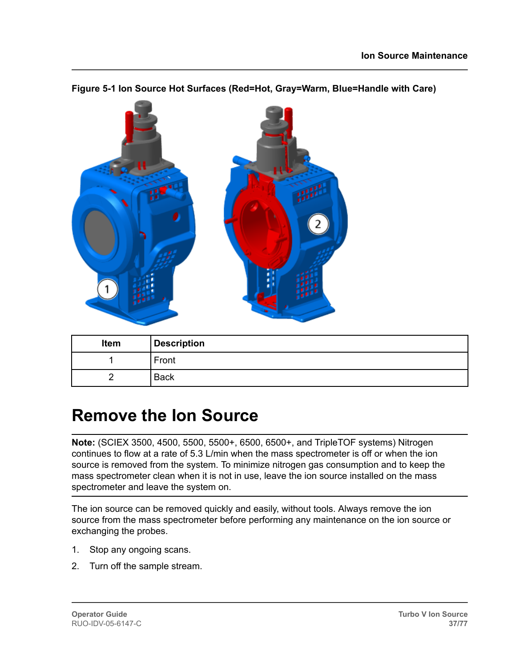

#### <span id="page-36-0"></span>**Figure 5-1 Ion Source Hot Surfaces (Red=Hot, Gray=Warm, Blue=Handle with Care)**

| Item | <b>Description</b> |
|------|--------------------|
|      | Front              |
|      | <b>Back</b>        |

### **Remove the Ion Source**

**Note:** (SCIEX 3500, 4500, 5500, 5500+, 6500, 6500+, and TripleTOF systems) Nitrogen continues to flow at a rate of 5.3 L/min when the mass spectrometer is off or when the ion source is removed from the system. To minimize nitrogen gas consumption and to keep the mass spectrometer clean when it is not in use, leave the ion source installed on the mass spectrometer and leave the system on.

The ion source can be removed quickly and easily, without tools. Always remove the ion source from the mass spectrometer before performing any maintenance on the ion source or exchanging the probes.

- 1. Stop any ongoing scans.
- 2. Turn off the sample stream.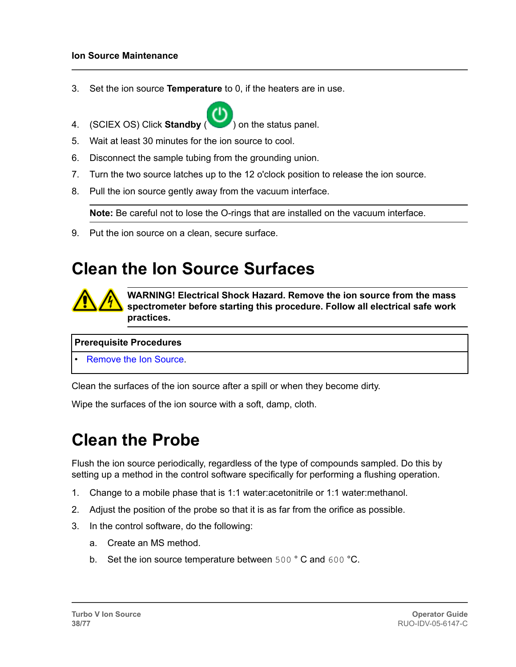#### **Ion Source Maintenance**

- 3. Set the ion source **Temperature** to 0, if the heaters are in use.
- 4. (SCIEX OS) Click **Standby** ( ) on the status panel.
- 5. Wait at least 30 minutes for the ion source to cool.
- 6. Disconnect the sample tubing from the grounding union.
- 7. Turn the two source latches up to the 12 o'clock position to release the ion source.
- 8. Pull the ion source gently away from the vacuum interface.

**Note:** Be careful not to lose the O-rings that are installed on the vacuum interface.

9. Put the ion source on a clean, secure surface.

### **Clean the Ion Source Surfaces**



**WARNING! Electrical Shock Hazard. Remove the ion source from the mass spectrometer before starting this procedure. Follow all electrical safe work practices.**

#### **Prerequisite Procedures**

• [Remove the Ion Source](#page-36-0).

Clean the surfaces of the ion source after a spill or when they become dirty.

Wipe the surfaces of the ion source with a soft, damp, cloth.

### **Clean the Probe**

Flush the ion source periodically, regardless of the type of compounds sampled. Do this by setting up a method in the control software specifically for performing a flushing operation.

- 1. Change to a mobile phase that is 1:1 water:acetonitrile or 1:1 water:methanol.
- 2. Adjust the position of the probe so that it is as far from the orifice as possible.
- 3. In the control software, do the following:
	- a. Create an MS method.
	- b. Set the ion source temperature between 500 °C and 600 °C.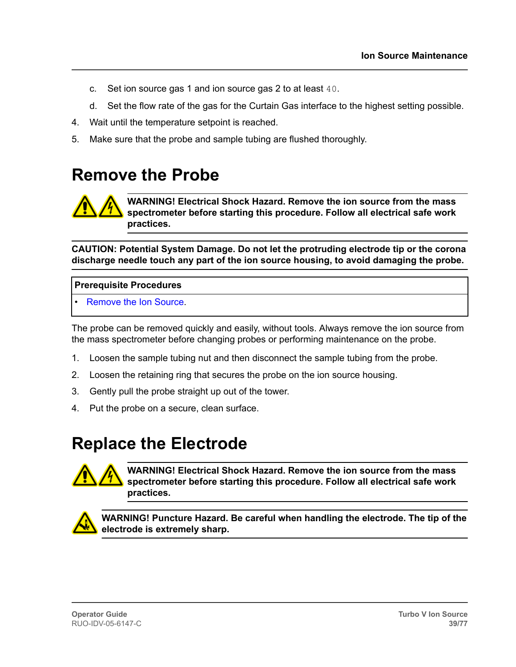- <span id="page-38-0"></span>c. Set ion source gas 1 and ion source gas 2 to at least 40.
- d. Set the flow rate of the gas for the Curtain Gas interface to the highest setting possible.
- 4. Wait until the temperature setpoint is reached.
- 5. Make sure that the probe and sample tubing are flushed thoroughly.

### **Remove the Probe**

**WARNING! Electrical Shock Hazard. Remove the ion source from the mass spectrometer before starting this procedure. Follow all electrical safe work practices.**

**CAUTION: Potential System Damage. Do not let the protruding electrode tip or the corona discharge needle touch any part of the ion source housing, to avoid damaging the probe.**

#### **Prerequisite Procedures**

• [Remove the Ion Source](#page-36-0).

The probe can be removed quickly and easily, without tools. Always remove the ion source from the mass spectrometer before changing probes or performing maintenance on the probe.

- 1. Loosen the sample tubing nut and then disconnect the sample tubing from the probe.
- 2. Loosen the retaining ring that secures the probe on the ion source housing.
- 3. Gently pull the probe straight up out of the tower.
- 4. Put the probe on a secure, clean surface.

### **Replace the Electrode**



**WARNING! Electrical Shock Hazard. Remove the ion source from the mass spectrometer before starting this procedure. Follow all electrical safe work practices.**



**WARNING! Puncture Hazard. Be careful when handling the electrode. The tip of the electrode is extremely sharp.**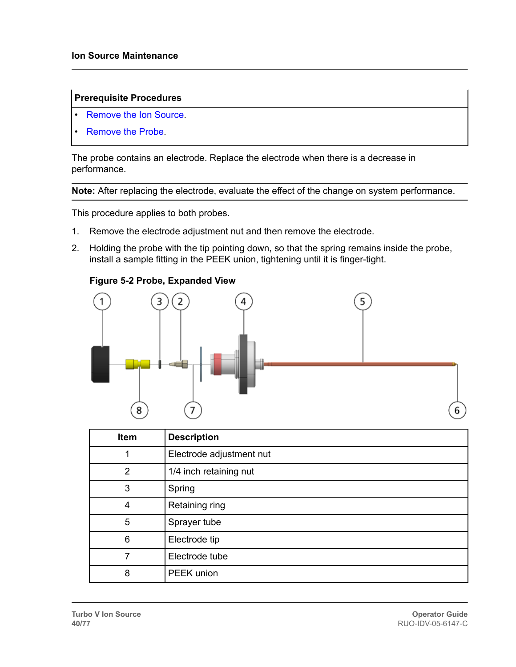#### **Prerequisite Procedures**

- [Remove the Ion Source](#page-36-0).
- [Remove the Probe](#page-38-0).

The probe contains an electrode. Replace the electrode when there is a decrease in performance.

**Note:** After replacing the electrode, evaluate the effect of the change on system performance.

This procedure applies to both probes.

- 1. Remove the electrode adjustment nut and then remove the electrode.
- 2. Holding the probe with the tip pointing down, so that the spring remains inside the probe, install a sample fitting in the PEEK union, tightening until it is finger-tight.

#### **Figure 5-2 Probe, Expanded View**



| Item           | <b>Description</b>       |
|----------------|--------------------------|
|                | Electrode adjustment nut |
| $\overline{2}$ | 1/4 inch retaining nut   |
| 3              | Spring                   |
| 4              | Retaining ring           |
| 5              | Sprayer tube             |
| 6              | Electrode tip            |
|                | Electrode tube           |
| 8              | PEEK union               |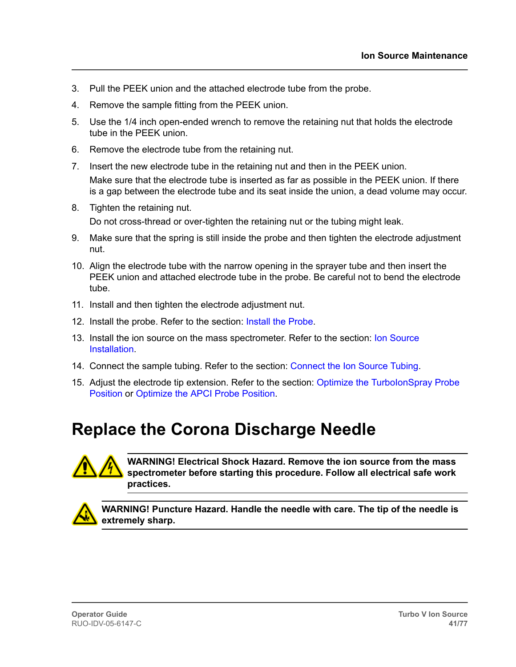- 3. Pull the PEEK union and the attached electrode tube from the probe.
- 4. Remove the sample fitting from the PEEK union.
- 5. Use the 1/4 inch open-ended wrench to remove the retaining nut that holds the electrode tube in the PEEK union.
- 6. Remove the electrode tube from the retaining nut.
- 7. Insert the new electrode tube in the retaining nut and then in the PEEK union. Make sure that the electrode tube is inserted as far as possible in the PEEK union. If there is a gap between the electrode tube and its seat inside the union, a dead volume may occur.
- 8. Tighten the retaining nut. Do not cross-thread or over-tighten the retaining nut or the tubing might leak.
- 9. Make sure that the spring is still inside the probe and then tighten the electrode adjustment nut.
- 10. Align the electrode tube with the narrow opening in the sprayer tube and then insert the PEEK union and attached electrode tube in the probe. Be careful not to bend the electrode tube.
- 11. Install and then tighten the electrode adjustment nut.
- 12. Install the probe. Refer to the section: [Install the Probe.](#page-19-0)
- 13. Install the ion source on the mass spectrometer. Refer to the section: [Ion Source](#page-18-0) [Installation.](#page-18-0)
- 14. Connect the sample tubing. Refer to the section: [Connect the Ion Source Tubing.](#page-20-0)
- 15. Adjust the electrode tip extension. Refer to the section: Optimize the TurbolonSpray Probe [Position](#page-27-0) or [Optimize the APCI Probe Position](#page-65-0).

### **Replace the Corona Discharge Needle**



**WARNING! Electrical Shock Hazard. Remove the ion source from the mass spectrometer before starting this procedure. Follow all electrical safe work practices.**



**WARNING! Puncture Hazard. Handle the needle with care. The tip of the needle is extremely sharp.**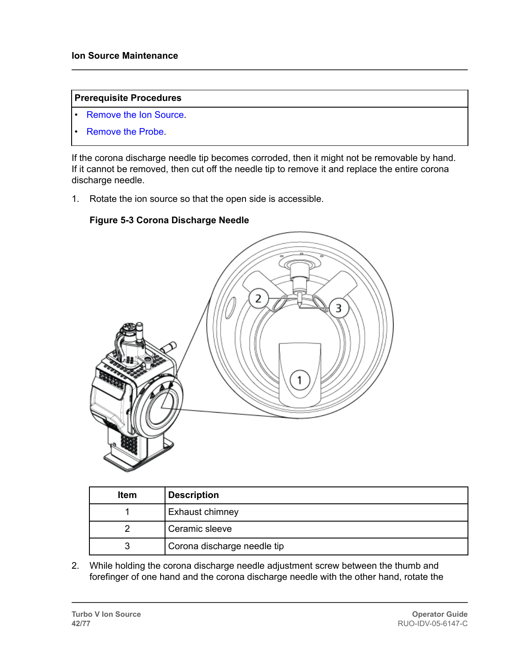#### **Prerequisite Procedures**

- [Remove the Ion Source](#page-36-0).
- [Remove the Probe](#page-38-0).

If the corona discharge needle tip becomes corroded, then it might not be removable by hand. If it cannot be removed, then cut off the needle tip to remove it and replace the entire corona discharge needle.

1. Rotate the ion source so that the open side is accessible.

#### **Figure 5-3 Corona Discharge Needle**



| <b>Item</b> | <b>Description</b>          |
|-------------|-----------------------------|
|             | <b>Exhaust chimney</b>      |
|             | Ceramic sleeve              |
|             | Corona discharge needle tip |

2. While holding the corona discharge needle adjustment screw between the thumb and forefinger of one hand and the corona discharge needle with the other hand, rotate the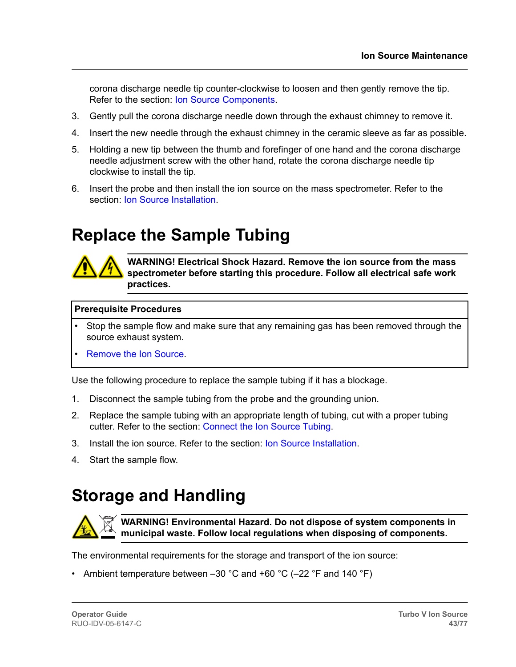corona discharge needle tip counter-clockwise to loosen and then gently remove the tip. Refer to the section: [Ion Source Components](#page-12-0).

- 3. Gently pull the corona discharge needle down through the exhaust chimney to remove it.
- 4. Insert the new needle through the exhaust chimney in the ceramic sleeve as far as possible.
- 5. Holding a new tip between the thumb and forefinger of one hand and the corona discharge needle adjustment screw with the other hand, rotate the corona discharge needle tip clockwise to install the tip.
- 6. Insert the probe and then install the ion source on the mass spectrometer. Refer to the section: [Ion Source Installation](#page-18-0).

### **Replace the Sample Tubing**



**WARNING! Electrical Shock Hazard. Remove the ion source from the mass spectrometer before starting this procedure. Follow all electrical safe work practices.**

#### **Prerequisite Procedures**

- Stop the sample flow and make sure that any remaining gas has been removed through the source exhaust system.
- [Remove the Ion Source](#page-36-0).

Use the following procedure to replace the sample tubing if it has a blockage.

- 1. Disconnect the sample tubing from the probe and the grounding union.
- 2. Replace the sample tubing with an appropriate length of tubing, cut with a proper tubing cutter. Refer to the section: [Connect the Ion Source Tubing.](#page-20-0)
- 3. Install the ion source. Refer to the section: [Ion Source Installation.](#page-18-0)
- 4. Start the sample flow.

### **Storage and Handling**



**WARNING! Environmental Hazard. Do not dispose of system components in municipal waste. Follow local regulations when disposing of components.**

The environmental requirements for the storage and transport of the ion source:

• Ambient temperature between  $-30$  °C and  $+60$  °C ( $-22$  °F and 140 °F)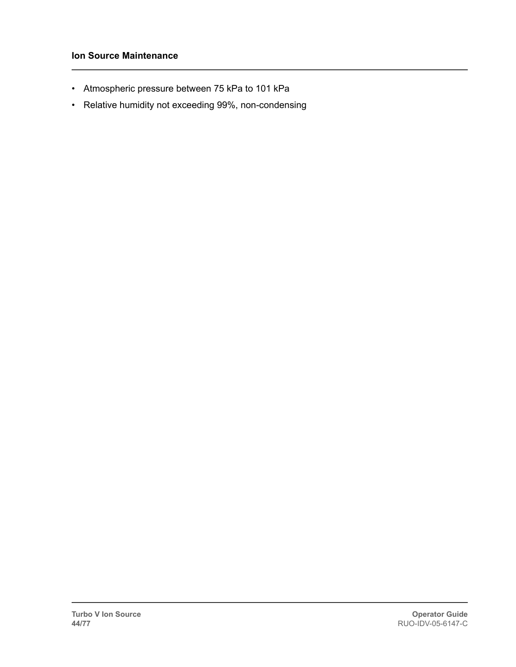#### **Ion Source Maintenance**

- Atmospheric pressure between 75 kPa to 101 kPa
- Relative humidity not exceeding 99%, non-condensing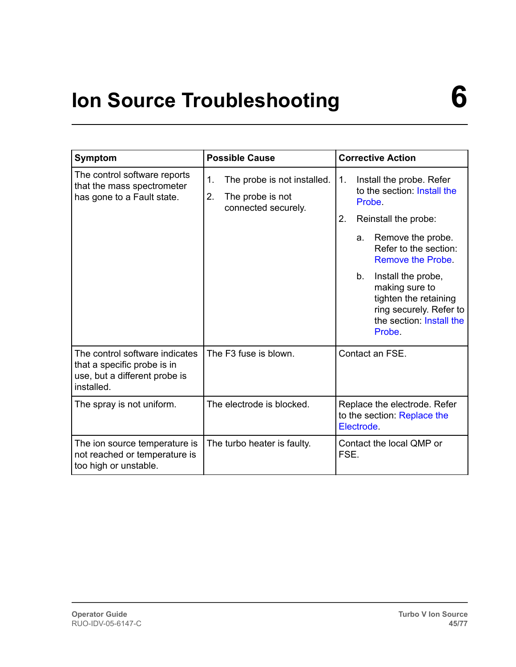# **Ion Source Troubleshooting 6**

| <b>Symptom</b>                                                                                               | <b>Possible Cause</b>                                                              | <b>Corrective Action</b>                                                                                                                                                                                                                                                                                               |  |
|--------------------------------------------------------------------------------------------------------------|------------------------------------------------------------------------------------|------------------------------------------------------------------------------------------------------------------------------------------------------------------------------------------------------------------------------------------------------------------------------------------------------------------------|--|
| The control software reports<br>that the mass spectrometer<br>has gone to a Fault state.                     | 1.<br>The probe is not installed.<br>2.<br>The probe is not<br>connected securely. | Install the probe. Refer<br>1.<br>to the section: Install the<br>Probe.<br>2.<br>Reinstall the probe:<br>Remove the probe.<br>a.<br>Refer to the section:<br>Remove the Probe.<br>Install the probe,<br>b.<br>making sure to<br>tighten the retaining<br>ring securely. Refer to<br>the section: Install the<br>Probe. |  |
| The control software indicates<br>that a specific probe is in<br>use, but a different probe is<br>installed. | The F3 fuse is blown.                                                              | Contact an FSE.                                                                                                                                                                                                                                                                                                        |  |
| The spray is not uniform.                                                                                    | The electrode is blocked.                                                          | Replace the electrode. Refer<br>to the section: Replace the<br>Electrode.                                                                                                                                                                                                                                              |  |
| The ion source temperature is<br>not reached or temperature is<br>too high or unstable.                      | The turbo heater is faulty.                                                        | Contact the local QMP or<br>FSE.                                                                                                                                                                                                                                                                                       |  |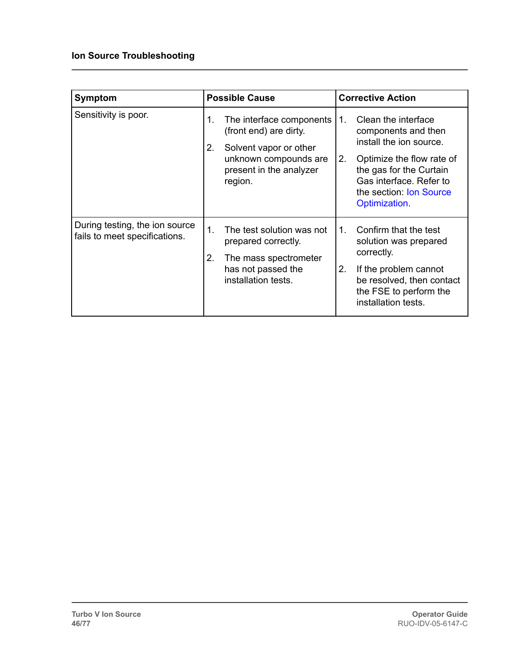#### **Ion Source Troubleshooting**

| Symptom                                                         | <b>Possible Cause</b>                                                                                                                                   | <b>Corrective Action</b>                                                                                                                                                                                         |  |
|-----------------------------------------------------------------|---------------------------------------------------------------------------------------------------------------------------------------------------------|------------------------------------------------------------------------------------------------------------------------------------------------------------------------------------------------------------------|--|
| Sensitivity is poor.                                            | The interface components<br>1.<br>(front end) are dirty.<br>2.<br>Solvent vapor or other<br>unknown compounds are<br>present in the analyzer<br>region. | Clean the interface<br>1.<br>components and then<br>install the ion source.<br>2.<br>Optimize the flow rate of<br>the gas for the Curtain<br>Gas interface. Refer to<br>the section: Ion Source<br>Optimization. |  |
| During testing, the ion source<br>fails to meet specifications. | 1.<br>The test solution was not<br>prepared correctly.<br>2.<br>The mass spectrometer<br>has not passed the<br>installation tests.                      | Confirm that the test<br>$1_{-}$<br>solution was prepared<br>correctly.<br>2.<br>If the problem cannot<br>be resolved, then contact<br>the FSE to perform the<br>installation tests.                             |  |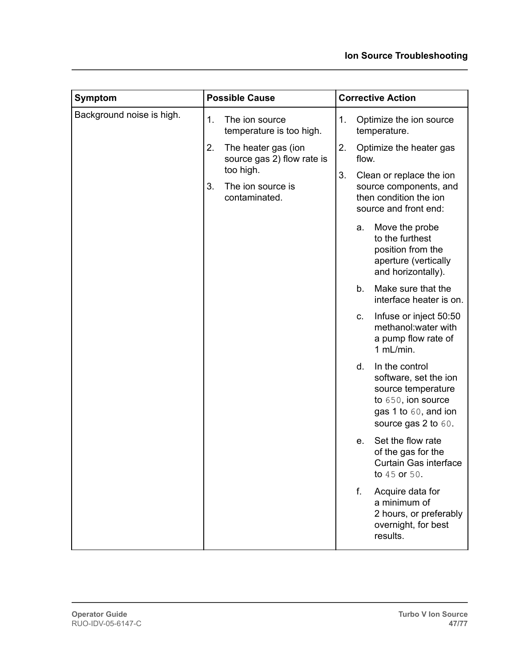| <b>Symptom</b>            | <b>Possible Cause</b>                                                                                            | <b>Corrective Action</b>                                                                                                                      |  |
|---------------------------|------------------------------------------------------------------------------------------------------------------|-----------------------------------------------------------------------------------------------------------------------------------------------|--|
| Background noise is high. | 1.<br>The ion source<br>temperature is too high.                                                                 | 1.<br>Optimize the ion source<br>temperature.                                                                                                 |  |
|                           | 2.<br>The heater gas (ion<br>source gas 2) flow rate is<br>too high.<br>3.<br>The ion source is<br>contaminated. | 2.<br>Optimize the heater gas<br>flow.                                                                                                        |  |
|                           |                                                                                                                  | 3.<br>Clean or replace the ion<br>source components, and<br>then condition the ion<br>source and front end:                                   |  |
|                           |                                                                                                                  | Move the probe<br>a.<br>to the furthest<br>position from the<br>aperture (vertically<br>and horizontally).                                    |  |
|                           |                                                                                                                  | Make sure that the<br>b.<br>interface heater is on.                                                                                           |  |
|                           |                                                                                                                  | Infuse or inject 50:50<br>C.<br>methanol: water with<br>a pump flow rate of<br>1 mL/min.                                                      |  |
|                           |                                                                                                                  | d.<br>In the control<br>software, set the ion<br>source temperature<br>to 650, ion source<br>gas 1 to 60, and ion<br>source gas $2$ to $60$ . |  |
|                           |                                                                                                                  | Set the flow rate<br>e.<br>of the gas for the<br>Curtain Gas interface<br>to 45 or 50.                                                        |  |
|                           |                                                                                                                  | f.<br>Acquire data for<br>a minimum of<br>2 hours, or preferably<br>overnight, for best<br>results.                                           |  |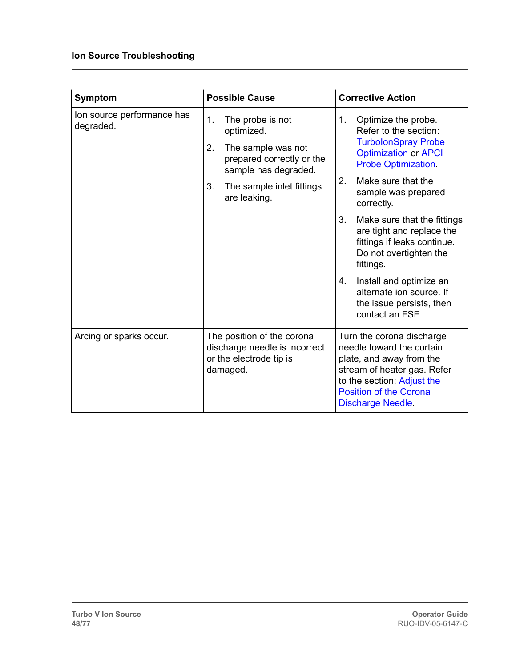#### **Ion Source Troubleshooting**

| <b>Symptom</b>                          | <b>Possible Cause</b>                                                                                                 | <b>Corrective Action</b>                                                                                                                                                                                     |  |  |
|-----------------------------------------|-----------------------------------------------------------------------------------------------------------------------|--------------------------------------------------------------------------------------------------------------------------------------------------------------------------------------------------------------|--|--|
| Ion source performance has<br>degraded. | 1.<br>The probe is not<br>optimized.<br>2.<br>The sample was not<br>prepared correctly or the<br>sample has degraded. | 1.<br>Optimize the probe.<br>Refer to the section:<br><b>TurbolonSpray Probe</b><br><b>Optimization or APCI</b><br><b>Probe Optimization.</b>                                                                |  |  |
|                                         | 3.<br>The sample inlet fittings<br>are leaking.                                                                       | 2.<br>Make sure that the<br>sample was prepared<br>correctly.                                                                                                                                                |  |  |
|                                         |                                                                                                                       | 3.<br>Make sure that the fittings<br>are tight and replace the<br>fittings if leaks continue.<br>Do not overtighten the<br>fittings.                                                                         |  |  |
|                                         |                                                                                                                       | Install and optimize an<br>4.<br>alternate ion source. If<br>the issue persists, then<br>contact an FSE                                                                                                      |  |  |
| Arcing or sparks occur.                 | The position of the corona<br>discharge needle is incorrect<br>or the electrode tip is<br>damaged.                    | Turn the corona discharge<br>needle toward the curtain<br>plate, and away from the<br>stream of heater gas. Refer<br>to the section: Adjust the<br><b>Position of the Corona</b><br><b>Discharge Needle.</b> |  |  |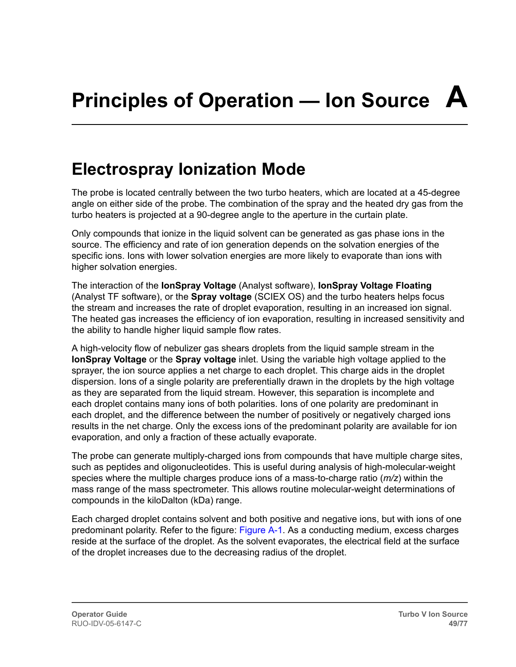### <span id="page-48-0"></span>**Electrospray Ionization Mode**

The probe is located centrally between the two turbo heaters, which are located at a 45-degree angle on either side of the probe. The combination of the spray and the heated dry gas from the turbo heaters is projected at a 90-degree angle to the aperture in the curtain plate.

Only compounds that ionize in the liquid solvent can be generated as gas phase ions in the source. The efficiency and rate of ion generation depends on the solvation energies of the specific ions. Ions with lower solvation energies are more likely to evaporate than ions with higher solvation energies.

The interaction of the **IonSpray Voltage** (Analyst software), **IonSpray Voltage Floating** (Analyst TF software), or the **Spray voltage** (SCIEX OS) and the turbo heaters helps focus the stream and increases the rate of droplet evaporation, resulting in an increased ion signal. The heated gas increases the efficiency of ion evaporation, resulting in increased sensitivity and the ability to handle higher liquid sample flow rates.

A high-velocity flow of nebulizer gas shears droplets from the liquid sample stream in the **IonSpray Voltage** or the **Spray voltage** inlet. Using the variable high voltage applied to the sprayer, the ion source applies a net charge to each droplet. This charge aids in the droplet dispersion. Ions of a single polarity are preferentially drawn in the droplets by the high voltage as they are separated from the liquid stream. However, this separation is incomplete and each droplet contains many ions of both polarities. Ions of one polarity are predominant in each droplet, and the difference between the number of positively or negatively charged ions results in the net charge. Only the excess ions of the predominant polarity are available for ion evaporation, and only a fraction of these actually evaporate.

The probe can generate multiply-charged ions from compounds that have multiple charge sites, such as peptides and oligonucleotides. This is useful during analysis of high-molecular-weight species where the multiple charges produce ions of a mass-to-charge ratio (*m/z*) within the mass range of the mass spectrometer. This allows routine molecular-weight determinations of compounds in the kiloDalton (kDa) range.

Each charged droplet contains solvent and both positive and negative ions, but with ions of one predominant polarity. Refer to the figure: [Figure A-1.](#page-49-0) As a conducting medium, excess charges reside at the surface of the droplet. As the solvent evaporates, the electrical field at the surface of the droplet increases due to the decreasing radius of the droplet.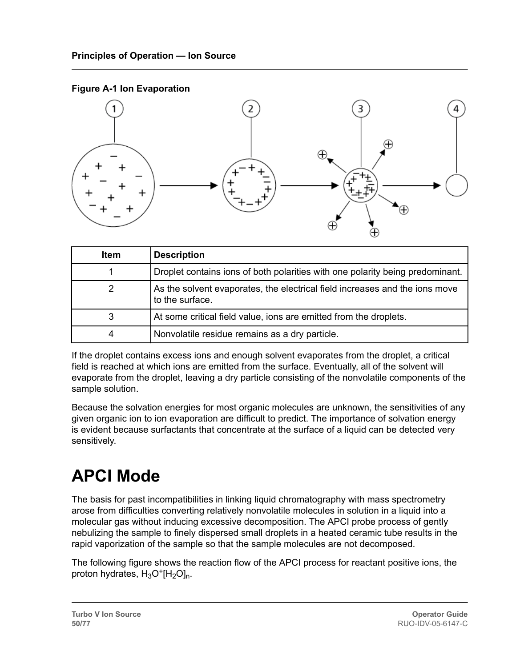<span id="page-49-0"></span>



| <b>Item</b> | <b>Description</b>                                                                             |
|-------------|------------------------------------------------------------------------------------------------|
|             | Droplet contains ions of both polarities with one polarity being predominant.                  |
|             | As the solvent evaporates, the electrical field increases and the ions move<br>to the surface. |
| 3           | At some critical field value, ions are emitted from the droplets.                              |
|             | Nonvolatile residue remains as a dry particle.                                                 |

If the droplet contains excess ions and enough solvent evaporates from the droplet, a critical field is reached at which ions are emitted from the surface. Eventually, all of the solvent will evaporate from the droplet, leaving a dry particle consisting of the nonvolatile components of the sample solution.

Because the solvation energies for most organic molecules are unknown, the sensitivities of any given organic ion to ion evaporation are difficult to predict. The importance of solvation energy is evident because surfactants that concentrate at the surface of a liquid can be detected very sensitively.

## **APCI Mode**

The basis for past incompatibilities in linking liquid chromatography with mass spectrometry arose from difficulties converting relatively nonvolatile molecules in solution in a liquid into a molecular gas without inducing excessive decomposition. The APCI probe process of gently nebulizing the sample to finely dispersed small droplets in a heated ceramic tube results in the rapid vaporization of the sample so that the sample molecules are not decomposed.

The following figure shows the reaction flow of the APCI process for reactant positive ions, the proton hydrates,  $H_3O^+[H_2O]_n$ .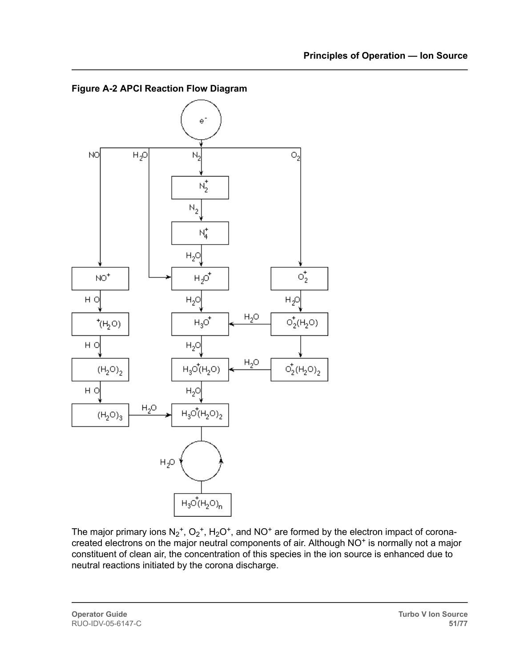

**Figure A-2 APCI Reaction Flow Diagram**

The major primary ions  $N_2^+$ ,  $O_2^+$ ,  $H_2O^+$ , and  $NO^+$  are formed by the electron impact of coronacreated electrons on the major neutral components of air. Although NO<sup>+</sup> is normally not a major constituent of clean air, the concentration of this species in the ion source is enhanced due to neutral reactions initiated by the corona discharge.

**Operator Guide** RUO-IDV-05-6147-C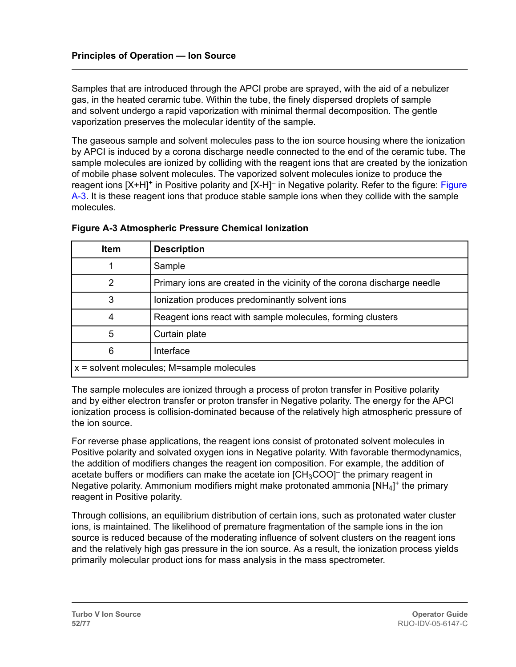Samples that are introduced through the APCI probe are sprayed, with the aid of a nebulizer gas, in the heated ceramic tube. Within the tube, the finely dispersed droplets of sample and solvent undergo a rapid vaporization with minimal thermal decomposition. The gentle vaporization preserves the molecular identity of the sample.

The gaseous sample and solvent molecules pass to the ion source housing where the ionization by APCI is induced by a corona discharge needle connected to the end of the ceramic tube. The sample molecules are ionized by colliding with the reagent ions that are created by the ionization of mobile phase solvent molecules. The vaporized solvent molecules ionize to produce the reagent ions [X+H]<sup>+</sup> in Positive polarity and [X-H]<sup>-</sup> in Negative polarity. Refer to the figure: Figure A-3. It is these reagent ions that produce stable sample ions when they collide with the sample molecules.

| <b>Item</b>                                 | <b>Description</b>                                                      |  |
|---------------------------------------------|-------------------------------------------------------------------------|--|
|                                             | Sample                                                                  |  |
| 2                                           | Primary ions are created in the vicinity of the corona discharge needle |  |
| 3                                           | Ionization produces predominantly solvent ions                          |  |
| 4                                           | Reagent ions react with sample molecules, forming clusters              |  |
| 5                                           | Curtain plate                                                           |  |
| 6                                           | Interface                                                               |  |
| $x =$ solvent molecules; M=sample molecules |                                                                         |  |

#### **Figure A-3 Atmospheric Pressure Chemical Ionization**

The sample molecules are ionized through a process of proton transfer in Positive polarity and by either electron transfer or proton transfer in Negative polarity. The energy for the APCI ionization process is collision-dominated because of the relatively high atmospheric pressure of the ion source.

For reverse phase applications, the reagent ions consist of protonated solvent molecules in Positive polarity and solvated oxygen ions in Negative polarity. With favorable thermodynamics, the addition of modifiers changes the reagent ion composition. For example, the addition of acetate buffers or modifiers can make the acetate ion [CH $_{\rm 3}$ COO] $^-$  the primary reagent in Negative polarity. Ammonium modifiers might make protonated ammonia [NH<sub>4</sub>]<sup>+</sup> the primary reagent in Positive polarity.

Through collisions, an equilibrium distribution of certain ions, such as protonated water cluster ions, is maintained. The likelihood of premature fragmentation of the sample ions in the ion source is reduced because of the moderating influence of solvent clusters on the reagent ions and the relatively high gas pressure in the ion source. As a result, the ionization process yields primarily molecular product ions for mass analysis in the mass spectrometer.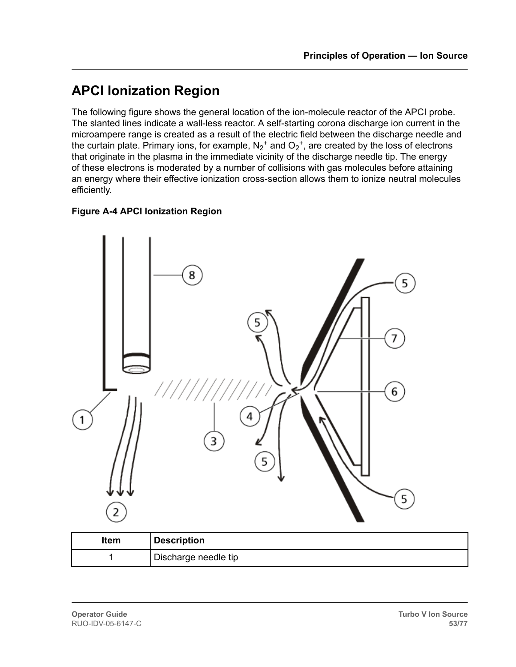### **APCI Ionization Region**

The following figure shows the general location of the ion-molecule reactor of the APCI probe. The slanted lines indicate a wall-less reactor. A self-starting corona discharge ion current in the microampere range is created as a result of the electric field between the discharge needle and the curtain plate. Primary ions, for example,  $\mathsf{N_2}^+$  and  $\mathsf{O_2}^+$ , are created by the loss of electrons that originate in the plasma in the immediate vicinity of the discharge needle tip. The energy of these electrons is moderated by a number of collisions with gas molecules before attaining an energy where their effective ionization cross-section allows them to ionize neutral molecules efficiently.

#### **Figure A-4 APCI Ionization Region**



| Item | <b>Description</b>   |
|------|----------------------|
|      | Discharge needle tip |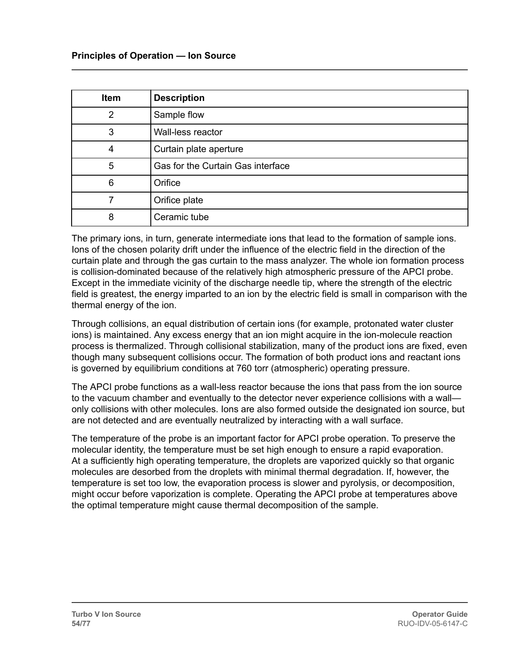| <b>Item</b>    | <b>Description</b>                |
|----------------|-----------------------------------|
| $\overline{2}$ | Sample flow                       |
| 3              | Wall-less reactor                 |
| 4              | Curtain plate aperture            |
| 5              | Gas for the Curtain Gas interface |
| 6              | Orifice                           |
|                | Orifice plate                     |
| 8              | Ceramic tube                      |

The primary ions, in turn, generate intermediate ions that lead to the formation of sample ions. Ions of the chosen polarity drift under the influence of the electric field in the direction of the curtain plate and through the gas curtain to the mass analyzer. The whole ion formation process is collision-dominated because of the relatively high atmospheric pressure of the APCI probe. Except in the immediate vicinity of the discharge needle tip, where the strength of the electric field is greatest, the energy imparted to an ion by the electric field is small in comparison with the thermal energy of the ion.

Through collisions, an equal distribution of certain ions (for example, protonated water cluster ions) is maintained. Any excess energy that an ion might acquire in the ion-molecule reaction process is thermalized. Through collisional stabilization, many of the product ions are fixed, even though many subsequent collisions occur. The formation of both product ions and reactant ions is governed by equilibrium conditions at 760 torr (atmospheric) operating pressure.

The APCI probe functions as a wall-less reactor because the ions that pass from the ion source to the vacuum chamber and eventually to the detector never experience collisions with a wall only collisions with other molecules. Ions are also formed outside the designated ion source, but are not detected and are eventually neutralized by interacting with a wall surface.

The temperature of the probe is an important factor for APCI probe operation. To preserve the molecular identity, the temperature must be set high enough to ensure a rapid evaporation. At a sufficiently high operating temperature, the droplets are vaporized quickly so that organic molecules are desorbed from the droplets with minimal thermal degradation. If, however, the temperature is set too low, the evaporation process is slower and pyrolysis, or decomposition, might occur before vaporization is complete. Operating the APCI probe at temperatures above the optimal temperature might cause thermal decomposition of the sample.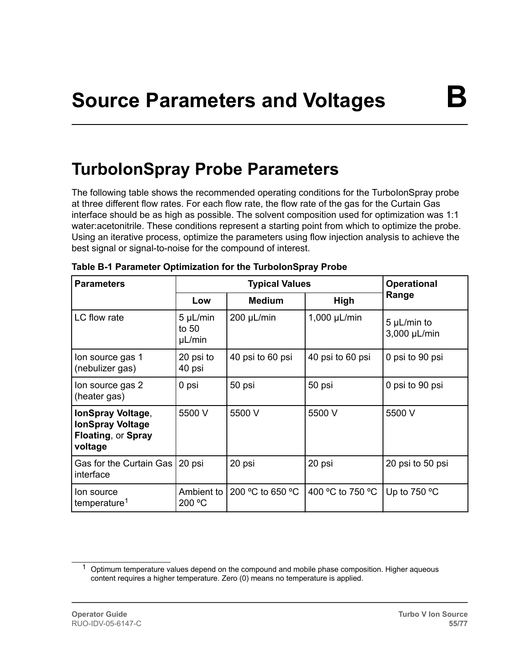### <span id="page-54-0"></span>**TurboIonSpray Probe Parameters**

The following table shows the recommended operating conditions for the TurboIonSpray probe at three different flow rates. For each flow rate, the flow rate of the gas for the Curtain Gas interface should be as high as possible. The solvent composition used for optimization was 1:1 water:acetonitrile. These conditions represent a starting point from which to optimize the probe. Using an iterative process, optimize the parameters using flow injection analysis to achieve the best signal or signal-to-noise for the compound of interest.

| <b>Parameters</b>                                                             | <b>Typical Values</b>              |                  |                  | <b>Operational</b>          |
|-------------------------------------------------------------------------------|------------------------------------|------------------|------------------|-----------------------------|
|                                                                               | Low                                | <b>Medium</b>    | High             | Range                       |
| LC flow rate                                                                  | $5 \mu L/min$<br>to $50$<br>µL/min | $200 \mu L/min$  | $1,000$ µL/min   | 5 µL/min to<br>3,000 µL/min |
| lon source gas 1<br>(nebulizer gas)                                           | 20 psi to<br>40 psi                | 40 psi to 60 psi | 40 psi to 60 psi | 0 psi to 90 psi             |
| lon source gas 2<br>(heater gas)                                              | 0 psi                              | 50 psi           | 50 psi           | 0 psi to 90 psi             |
| IonSpray Voltage,<br><b>IonSpray Voltage</b><br>Floating, or Spray<br>voltage | 5500 V                             | 5500 V           | 5500 V           | 5500 V                      |
| Gas for the Curtain Gas   20 psi<br>interface                                 |                                    | 20 psi           | 20 psi           | 20 psi to 50 psi            |
| lon source<br>temperature <sup>1</sup>                                        | Ambient to<br>200 °C               | 200 °C to 650 °C | 400 °C to 750 °C | Up to $750 °C$              |

|  |  | Table B-1 Parameter Optimization for the TurbolonSpray Probe |  |
|--|--|--------------------------------------------------------------|--|
|  |  |                                                              |  |

 $1$  Optimum temperature values depend on the compound and mobile phase composition. Higher aqueous content requires a higher temperature. Zero (0) means no temperature is applied.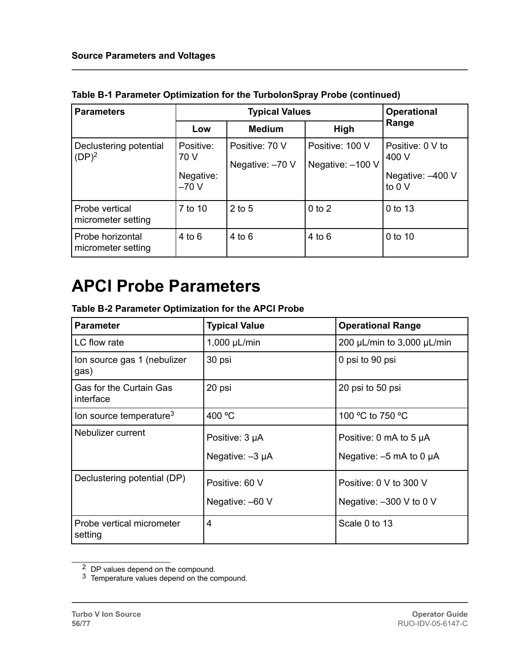| <b>Parameters</b>                      |                                          | <b>Operational</b>                |                                     |                                                         |
|----------------------------------------|------------------------------------------|-----------------------------------|-------------------------------------|---------------------------------------------------------|
|                                        | Low                                      | <b>Medium</b>                     | High                                | Range                                                   |
| Declustering potential<br>$(DP)^2$     | Positive:<br>70 V<br>Negative:<br>$-70V$ | Positive: 70 V<br>Negative: -70 V | Positive: 100 V<br>Negative: -100 V | Positive: 0 V to<br>400 V<br>Negative: -400 V<br>to 0 V |
| Probe vertical<br>micrometer setting   | 7 to 10                                  | $2$ to 5                          | $0$ to $2$                          | 0 to 13                                                 |
| Probe horizontal<br>micrometer setting | $4$ to $6$                               | $4$ to $6$                        | $4$ to $6$                          | 0 to 10                                                 |

<span id="page-55-0"></span>**Table B-1 Parameter Optimization for the TurboIonSpray Probe (continued)**

### **APCI Probe Parameters**

**Table B-2 Parameter Optimization for the APCI Probe**

| <b>Parameter</b>                            | <b>Typical Value</b>                   | <b>Operational Range</b>                                      |
|---------------------------------------------|----------------------------------------|---------------------------------------------------------------|
| LC flow rate                                | $1,000$ µL/min                         | 200 $\mu$ L/min to 3,000 $\mu$ L/min                          |
| Ion source gas 1 (nebulizer<br>gas)         | 30 psi                                 | 0 psi to 90 psi                                               |
| <b>Gas for the Curtain Gas</b><br>interface | 20 psi                                 | 20 psi to 50 psi                                              |
| lon source temperature <sup>3</sup>         | 400 °C                                 | 100 °C to 750 °C                                              |
| Nebulizer current                           | Positive: 3 µA<br>Negative: $-3 \mu A$ | Positive: 0 mA to 5 $\mu$ A<br>Negative: $-5$ mA to 0 $\mu$ A |
| Declustering potential (DP)                 | Positive: 60 V<br>Negative: -60 V      | Positive: 0 V to 300 V<br>Negative: $-300$ V to 0 V           |
| Probe vertical micrometer<br>setting        | 4                                      | Scale 0 to 13                                                 |

 $2$  DP values depend on the compound.

 $3$  Temperature values depend on the compound.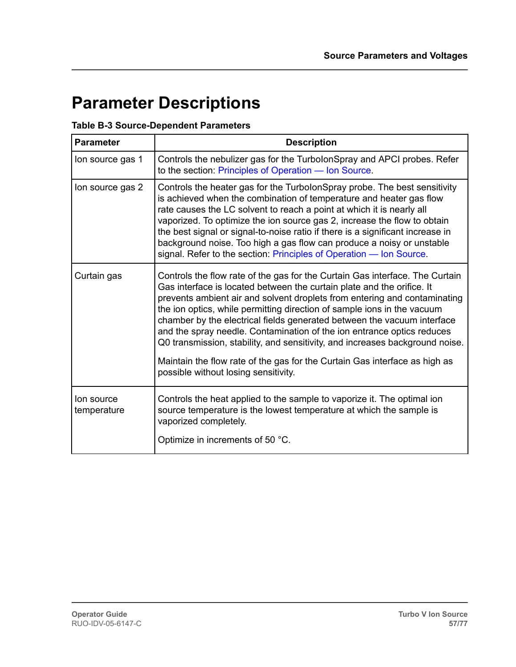### **Parameter Descriptions**

#### **Table B-3 Source-Dependent Parameters**

| <b>Parameter</b>          | <b>Description</b>                                                                                                                                                                                                                                                                                                                                                                                                                                                                                                                                                                                                                                                        |
|---------------------------|---------------------------------------------------------------------------------------------------------------------------------------------------------------------------------------------------------------------------------------------------------------------------------------------------------------------------------------------------------------------------------------------------------------------------------------------------------------------------------------------------------------------------------------------------------------------------------------------------------------------------------------------------------------------------|
| lon source gas 1          | Controls the nebulizer gas for the TurbolonSpray and APCI probes. Refer<br>to the section: Principles of Operation - Ion Source.                                                                                                                                                                                                                                                                                                                                                                                                                                                                                                                                          |
| lon source gas 2          | Controls the heater gas for the TurbolonSpray probe. The best sensitivity<br>is achieved when the combination of temperature and heater gas flow<br>rate causes the LC solvent to reach a point at which it is nearly all<br>vaporized. To optimize the ion source gas 2, increase the flow to obtain<br>the best signal or signal-to-noise ratio if there is a significant increase in<br>background noise. Too high a gas flow can produce a noisy or unstable<br>signal. Refer to the section: Principles of Operation - Ion Source.                                                                                                                                   |
| Curtain gas               | Controls the flow rate of the gas for the Curtain Gas interface. The Curtain<br>Gas interface is located between the curtain plate and the orifice. It<br>prevents ambient air and solvent droplets from entering and contaminating<br>the ion optics, while permitting direction of sample ions in the vacuum<br>chamber by the electrical fields generated between the vacuum interface<br>and the spray needle. Contamination of the ion entrance optics reduces<br>Q0 transmission, stability, and sensitivity, and increases background noise.<br>Maintain the flow rate of the gas for the Curtain Gas interface as high as<br>possible without losing sensitivity. |
| lon source<br>temperature | Controls the heat applied to the sample to vaporize it. The optimal ion<br>source temperature is the lowest temperature at which the sample is<br>vaporized completely.<br>Optimize in increments of 50 °C.                                                                                                                                                                                                                                                                                                                                                                                                                                                               |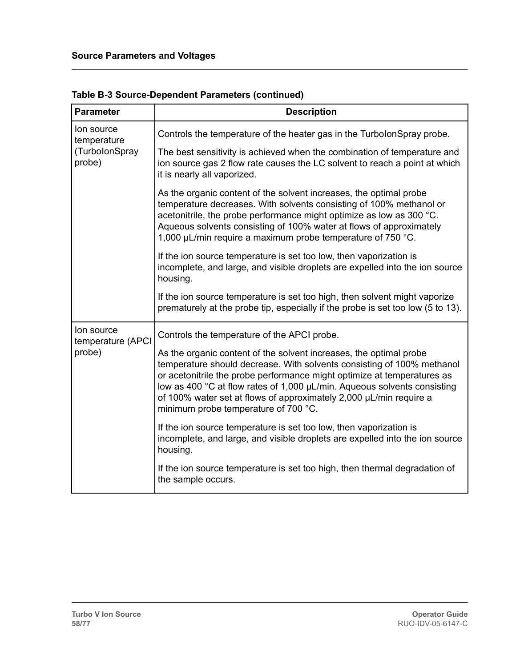| <b>Parameter</b>                | <b>Description</b>                                                                                                                                                                                                                                                                                                                                                                                                |
|---------------------------------|-------------------------------------------------------------------------------------------------------------------------------------------------------------------------------------------------------------------------------------------------------------------------------------------------------------------------------------------------------------------------------------------------------------------|
| lon source<br>temperature       | Controls the temperature of the heater gas in the TurbolonSpray probe.                                                                                                                                                                                                                                                                                                                                            |
| (TurbolonSpray<br>probe)        | The best sensitivity is achieved when the combination of temperature and<br>ion source gas 2 flow rate causes the LC solvent to reach a point at which<br>it is nearly all vaporized.                                                                                                                                                                                                                             |
|                                 | As the organic content of the solvent increases, the optimal probe<br>temperature decreases. With solvents consisting of 100% methanol or<br>acetonitrile, the probe performance might optimize as low as 300 °C.<br>Aqueous solvents consisting of 100% water at flows of approximately<br>1,000 µL/min require a maximum probe temperature of 750 °C.                                                           |
|                                 | If the ion source temperature is set too low, then vaporization is<br>incomplete, and large, and visible droplets are expelled into the ion source<br>housing.                                                                                                                                                                                                                                                    |
|                                 | If the ion source temperature is set too high, then solvent might vaporize<br>prematurely at the probe tip, especially if the probe is set too low (5 to 13).                                                                                                                                                                                                                                                     |
| lon source<br>temperature (APCI | Controls the temperature of the APCI probe.                                                                                                                                                                                                                                                                                                                                                                       |
| probe)                          | As the organic content of the solvent increases, the optimal probe<br>temperature should decrease. With solvents consisting of 100% methanol<br>or acetonitrile the probe performance might optimize at temperatures as<br>low as 400 °C at flow rates of 1,000 µL/min. Aqueous solvents consisting<br>of 100% water set at flows of approximately 2,000 µL/min require a<br>minimum probe temperature of 700 °C. |
|                                 | If the ion source temperature is set too low, then vaporization is<br>incomplete, and large, and visible droplets are expelled into the ion source<br>housing.                                                                                                                                                                                                                                                    |
|                                 | If the ion source temperature is set too high, then thermal degradation of<br>the sample occurs.                                                                                                                                                                                                                                                                                                                  |

**Table B-3 Source-Dependent Parameters (continued)**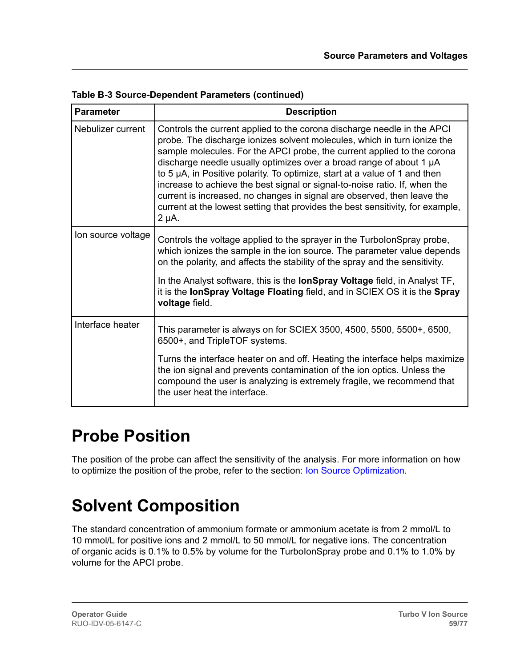| <b>Parameter</b>   | <b>Description</b>                                                                                                                                                                                                                                                                                                                                                                                                                                                                                                                                                                                                                            |
|--------------------|-----------------------------------------------------------------------------------------------------------------------------------------------------------------------------------------------------------------------------------------------------------------------------------------------------------------------------------------------------------------------------------------------------------------------------------------------------------------------------------------------------------------------------------------------------------------------------------------------------------------------------------------------|
| Nebulizer current  | Controls the current applied to the corona discharge needle in the APCI<br>probe. The discharge ionizes solvent molecules, which in turn ionize the<br>sample molecules. For the APCI probe, the current applied to the corona<br>discharge needle usually optimizes over a broad range of about 1 µA<br>to 5 µA, in Positive polarity. To optimize, start at a value of 1 and then<br>increase to achieve the best signal or signal-to-noise ratio. If, when the<br>current is increased, no changes in signal are observed, then leave the<br>current at the lowest setting that provides the best sensitivity, for example,<br>$2 \mu A$ . |
| Ion source voltage | Controls the voltage applied to the sprayer in the TurbolonSpray probe,<br>which ionizes the sample in the ion source. The parameter value depends<br>on the polarity, and affects the stability of the spray and the sensitivity.                                                                                                                                                                                                                                                                                                                                                                                                            |
|                    | In the Analyst software, this is the <b>IonSpray Voltage</b> field, in Analyst TF,<br>it is the lonSpray Voltage Floating field, and in SCIEX OS it is the Spray<br>voltage field.                                                                                                                                                                                                                                                                                                                                                                                                                                                            |
| Interface heater   | This parameter is always on for SCIEX 3500, 4500, 5500, 5500+, 6500,<br>6500+, and TripleTOF systems.                                                                                                                                                                                                                                                                                                                                                                                                                                                                                                                                         |
|                    | Turns the interface heater on and off. Heating the interface helps maximize<br>the ion signal and prevents contamination of the ion optics. Unless the<br>compound the user is analyzing is extremely fragile, we recommend that<br>the user heat the interface.                                                                                                                                                                                                                                                                                                                                                                              |

**Table B-3 Source-Dependent Parameters (continued)**

### **Probe Position**

The position of the probe can affect the sensitivity of the analysis. For more information on how to optimize the position of the probe, refer to the section: [Ion Source Optimization](#page-23-0).

## **Solvent Composition**

The standard concentration of ammonium formate or ammonium acetate is from 2 mmol/L to 10 mmol/L for positive ions and 2 mmol/L to 50 mmol/L for negative ions. The concentration of organic acids is 0.1% to 0.5% by volume for the TurboIonSpray probe and 0.1% to 1.0% by volume for the APCI probe.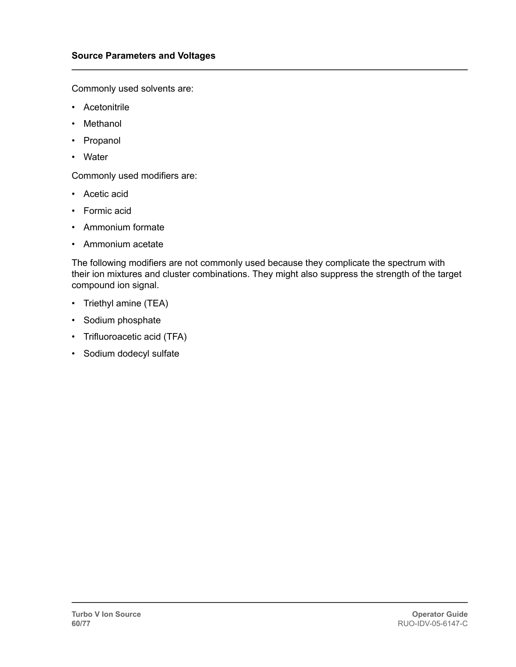Commonly used solvents are:

- Acetonitrile
- Methanol
- Propanol
- Water

Commonly used modifiers are:

- Acetic acid
- Formic acid
- Ammonium formate
- Ammonium acetate

The following modifiers are not commonly used because they complicate the spectrum with their ion mixtures and cluster combinations. They might also suppress the strength of the target compound ion signal.

- Triethyl amine (TEA)
- Sodium phosphate
- Trifluoroacetic acid (TFA)
- Sodium dodecyl sulfate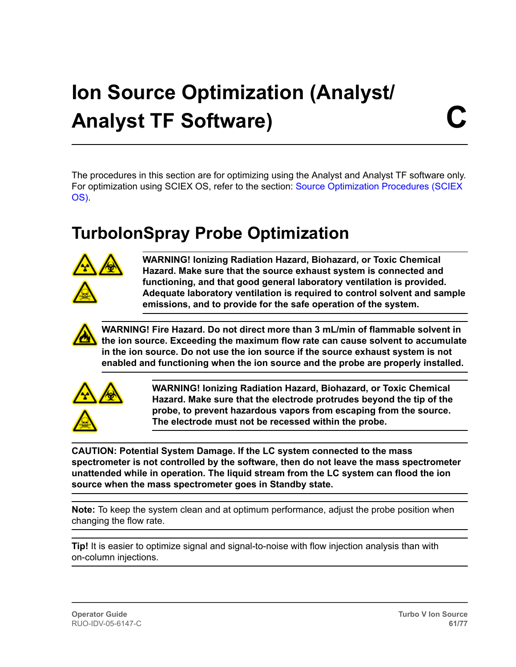## **Ion Source Optimization (Analyst/ Analyst TF Software)**

The procedures in this section are for optimizing using the Analyst and Analyst TF software only. For optimization using SCIEX OS, refer to the section: [Source Optimization Procedures \(SCIEX](#page-29-0) [OS\).](#page-29-0)

### **TurboIonSpray Probe Optimization**



**WARNING! Ionizing Radiation Hazard, Biohazard, or Toxic Chemical Hazard. Make sure that the source exhaust system is connected and functioning, and that good general laboratory ventilation is provided. Adequate laboratory ventilation is required to control solvent and sample emissions, and to provide for the safe operation of the system.**



**WARNING! Fire Hazard. Do not direct more than 3 mL/min of flammable solvent in the ion source. Exceeding the maximum flow rate can cause solvent to accumulate in the ion source. Do not use the ion source if the source exhaust system is not enabled and functioning when the ion source and the probe are properly installed.**



**WARNING! Ionizing Radiation Hazard, Biohazard, or Toxic Chemical Hazard. Make sure that the electrode protrudes beyond the tip of the probe, to prevent hazardous vapors from escaping from the source. The electrode must not be recessed within the probe.**

**CAUTION: Potential System Damage. If the LC system connected to the mass spectrometer is not controlled by the software, then do not leave the mass spectrometer unattended while in operation. The liquid stream from the LC system can flood the ion source when the mass spectrometer goes in Standby state.**

**Note:** To keep the system clean and at optimum performance, adjust the probe position when changing the flow rate.

**Tip!** It is easier to optimize signal and signal-to-noise with flow injection analysis than with on-column injections.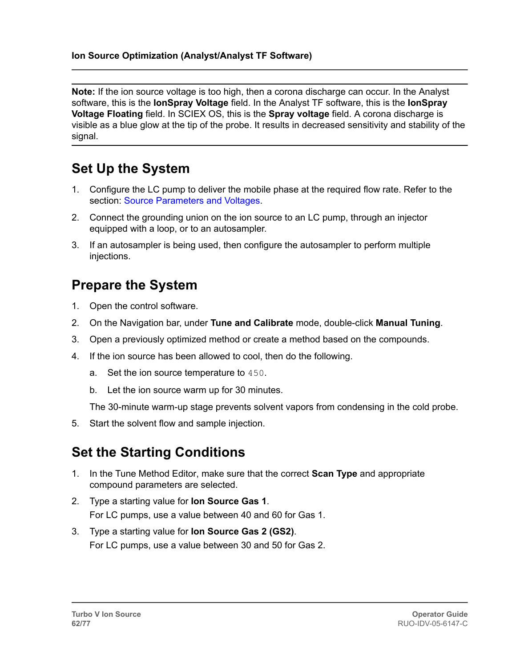**Note:** If the ion source voltage is too high, then a corona discharge can occur. In the Analyst software, this is the **IonSpray Voltage** field. In the Analyst TF software, this is the **IonSpray Voltage Floating** field. In SCIEX OS, this is the **Spray voltage** field. A corona discharge is visible as a blue glow at the tip of the probe. It results in decreased sensitivity and stability of the signal.

#### **Set Up the System**

- 1. Configure the LC pump to deliver the mobile phase at the required flow rate. Refer to the section: [Source Parameters and Voltages.](#page-54-0)
- 2. Connect the grounding union on the ion source to an LC pump, through an injector equipped with a loop, or to an autosampler.
- 3. If an autosampler is being used, then configure the autosampler to perform multiple injections.

#### **Prepare the System**

- 1. Open the control software.
- 2. On the Navigation bar, under **Tune and Calibrate** mode, double-click **Manual Tuning**.
- 3. Open a previously optimized method or create a method based on the compounds.
- 4. If the ion source has been allowed to cool, then do the following.
	- a. Set the ion source temperature to 450.
	- b. Let the ion source warm up for 30 minutes.

The 30-minute warm-up stage prevents solvent vapors from condensing in the cold probe.

5. Start the solvent flow and sample injection.

### **Set the Starting Conditions**

- 1. In the Tune Method Editor, make sure that the correct **Scan Type** and appropriate compound parameters are selected.
- 2. Type a starting value for **Ion Source Gas 1**. For LC pumps, use a value between 40 and 60 for Gas 1.
- 3. Type a starting value for **Ion Source Gas 2 (GS2)**. For LC pumps, use a value between 30 and 50 for Gas 2.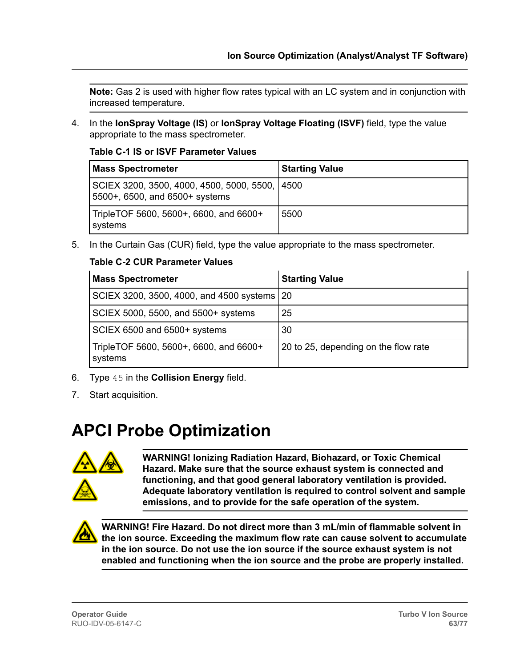<span id="page-62-0"></span>**Note:** Gas 2 is used with higher flow rates typical with an LC system and in conjunction with increased temperature.

4. In the **IonSpray Voltage (IS)** or **IonSpray Voltage Floating (ISVF)** field, type the value appropriate to the mass spectrometer.

**Table C-1 IS or ISVF Parameter Values**

| <b>Mass Spectrometer</b>                                                          | <b>Starting Value</b> |
|-----------------------------------------------------------------------------------|-----------------------|
| SCIEX 3200, 3500, 4000, 4500, 5000, 5500, 14500<br>5500+, 6500, and 6500+ systems |                       |
| TripleTOF 5600, 5600+, 6600, and 6600+<br>systems                                 | 5500                  |

5. In the Curtain Gas (CUR) field, type the value appropriate to the mass spectrometer.

#### **Table C-2 CUR Parameter Values**

| <b>Mass Spectrometer</b>                          | <b>Starting Value</b>                |
|---------------------------------------------------|--------------------------------------|
| SCIEX 3200, 3500, 4000, and 4500 systems   20     |                                      |
| SCIEX 5000, 5500, and 5500+ systems               | 25                                   |
| SCIEX 6500 and 6500+ systems                      | 30                                   |
| TripleTOF 5600, 5600+, 6600, and 6600+<br>systems | 20 to 25, depending on the flow rate |

- 6. Type 45 in the **Collision Energy** field.
- 7. Start acquisition.

### **APCI Probe Optimization**



**WARNING! Ionizing Radiation Hazard, Biohazard, or Toxic Chemical Hazard. Make sure that the source exhaust system is connected and functioning, and that good general laboratory ventilation is provided. Adequate laboratory ventilation is required to control solvent and sample emissions, and to provide for the safe operation of the system.**



**WARNING! Fire Hazard. Do not direct more than 3 mL/min of flammable solvent in the ion source. Exceeding the maximum flow rate can cause solvent to accumulate in the ion source. Do not use the ion source if the source exhaust system is not enabled and functioning when the ion source and the probe are properly installed.**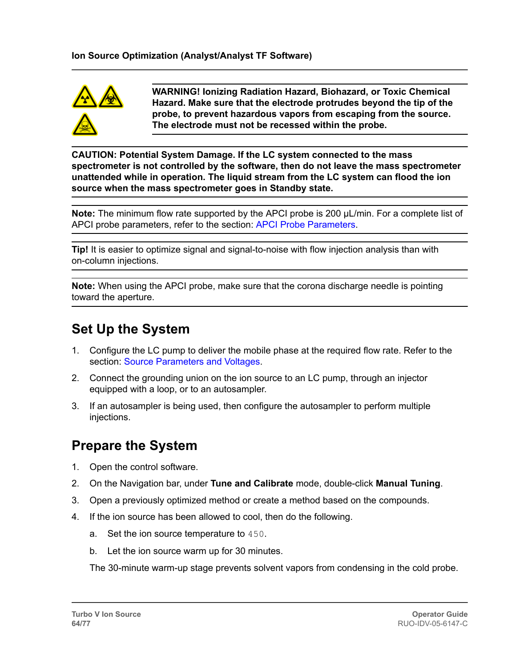

**WARNING! Ionizing Radiation Hazard, Biohazard, or Toxic Chemical Hazard. Make sure that the electrode protrudes beyond the tip of the probe, to prevent hazardous vapors from escaping from the source. The electrode must not be recessed within the probe.**

**CAUTION: Potential System Damage. If the LC system connected to the mass spectrometer is not controlled by the software, then do not leave the mass spectrometer unattended while in operation. The liquid stream from the LC system can flood the ion source when the mass spectrometer goes in Standby state.**

**Note:** The minimum flow rate supported by the APCI probe is 200 µL/min. For a complete list of APCI probe parameters, refer to the section: [APCI Probe Parameters.](#page-55-0)

**Tip!** It is easier to optimize signal and signal-to-noise with flow injection analysis than with on-column injections.

**Note:** When using the APCI probe, make sure that the corona discharge needle is pointing toward the aperture.

### **Set Up the System**

- 1. Configure the LC pump to deliver the mobile phase at the required flow rate. Refer to the section: [Source Parameters and Voltages.](#page-54-0)
- 2. Connect the grounding union on the ion source to an LC pump, through an injector equipped with a loop, or to an autosampler.
- 3. If an autosampler is being used, then configure the autosampler to perform multiple injections.

### **Prepare the System**

- 1. Open the control software.
- 2. On the Navigation bar, under **Tune and Calibrate** mode, double-click **Manual Tuning**.
- 3. Open a previously optimized method or create a method based on the compounds.
- 4. If the ion source has been allowed to cool, then do the following.
	- a. Set the ion source temperature to 450.
	- b. Let the ion source warm up for 30 minutes.

The 30-minute warm-up stage prevents solvent vapors from condensing in the cold probe.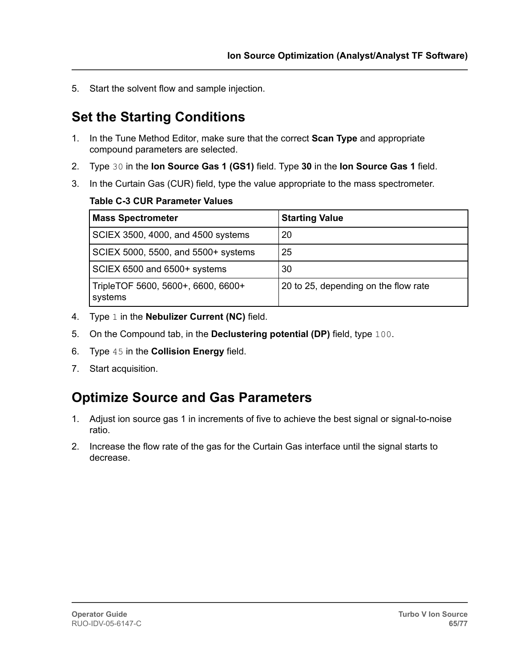5. Start the solvent flow and sample injection.

### **Set the Starting Conditions**

- 1. In the Tune Method Editor, make sure that the correct **Scan Type** and appropriate compound parameters are selected.
- 2. Type 30 in the **Ion Source Gas 1 (GS1)** field. Type **30** in the **Ion Source Gas 1** field.
- 3. In the Curtain Gas (CUR) field, type the value appropriate to the mass spectrometer.

#### **Table C-3 CUR Parameter Values**

| <b>Mass Spectrometer</b>                      | <b>Starting Value</b>                |
|-----------------------------------------------|--------------------------------------|
| SCIEX 3500, 4000, and 4500 systems            | 20                                   |
| SCIEX 5000, 5500, and 5500+ systems           | 25                                   |
| SCIEX 6500 and 6500+ systems                  | 30                                   |
| TripleTOF 5600, 5600+, 6600, 6600+<br>systems | 20 to 25, depending on the flow rate |

- 4. Type 1 in the **Nebulizer Current (NC)** field.
- 5. On the Compound tab, in the **Declustering potential (DP)** field, type 100.
- 6. Type 45 in the **Collision Energy** field.
- 7. Start acquisition.

#### **Optimize Source and Gas Parameters**

- 1. Adjust ion source gas 1 in increments of five to achieve the best signal or signal-to-noise ratio.
- 2. Increase the flow rate of the gas for the Curtain Gas interface until the signal starts to decrease.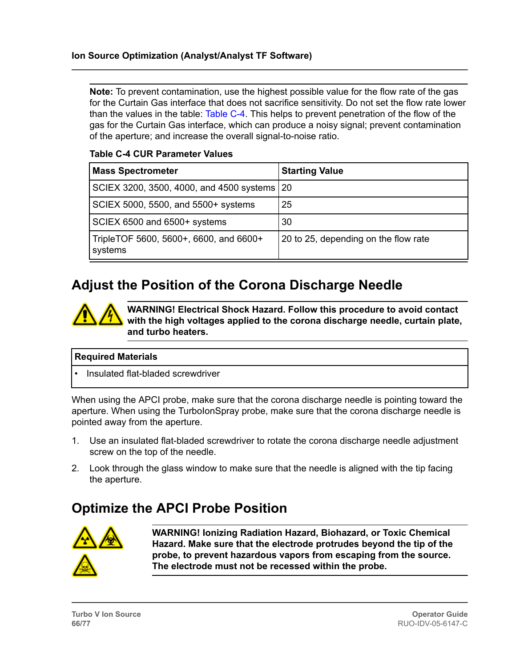<span id="page-65-0"></span>**Note:** To prevent contamination, use the highest possible value for the flow rate of the gas for the Curtain Gas interface that does not sacrifice sensitivity. Do not set the flow rate lower than the values in the table: Table C-4. This helps to prevent penetration of the flow of the gas for the Curtain Gas interface, which can produce a noisy signal; prevent contamination of the aperture; and increase the overall signal-to-noise ratio.

#### **Table C-4 CUR Parameter Values**

| <b>Mass Spectrometer</b>                          | <b>Starting Value</b>                |
|---------------------------------------------------|--------------------------------------|
| SCIEX 3200, 3500, 4000, and 4500 systems   20     |                                      |
| SCIEX 5000, 5500, and 5500+ systems               | 25                                   |
| SCIEX 6500 and 6500+ systems                      | 30                                   |
| TripleTOF 5600, 5600+, 6600, and 6600+<br>systems | 20 to 25, depending on the flow rate |

#### **Adjust the Position of the Corona Discharge Needle**

**WARNING! Electrical Shock Hazard. Follow this procedure to avoid contact with the high voltages applied to the corona discharge needle, curtain plate, and turbo heaters.**

#### **Required Materials**

• Insulated flat-bladed screwdriver

When using the APCI probe, make sure that the corona discharge needle is pointing toward the aperture. When using the TurboIonSpray probe, make sure that the corona discharge needle is pointed away from the aperture.

- 1. Use an insulated flat-bladed screwdriver to rotate the corona discharge needle adjustment screw on the top of the needle.
- 2. Look through the glass window to make sure that the needle is aligned with the tip facing the aperture.

#### **Optimize the APCI Probe Position**



**WARNING! Ionizing Radiation Hazard, Biohazard, or Toxic Chemical Hazard. Make sure that the electrode protrudes beyond the tip of the probe, to prevent hazardous vapors from escaping from the source. The electrode must not be recessed within the probe.**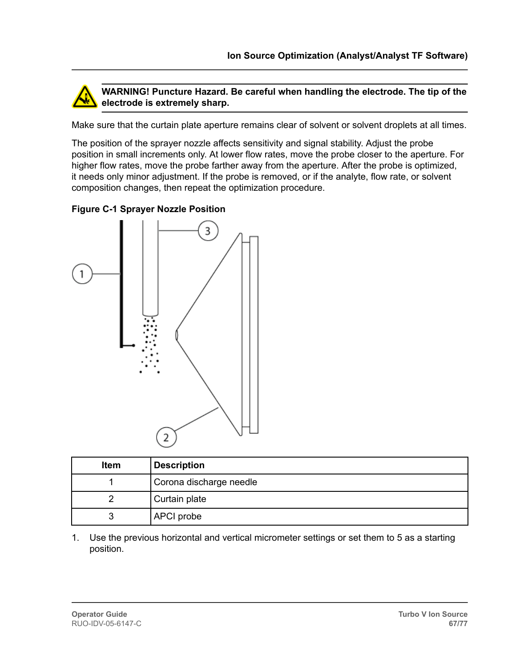

**WARNING! Puncture Hazard. Be careful when handling the electrode. The tip of the electrode is extremely sharp.**

Make sure that the curtain plate aperture remains clear of solvent or solvent droplets at all times.

The position of the sprayer nozzle affects sensitivity and signal stability. Adjust the probe position in small increments only. At lower flow rates, move the probe closer to the aperture. For higher flow rates, move the probe farther away from the aperture. After the probe is optimized, it needs only minor adjustment. If the probe is removed, or if the analyte, flow rate, or solvent composition changes, then repeat the optimization procedure.



| <b>Figure C-1 Sprayer Nozzle Position</b> |  |  |
|-------------------------------------------|--|--|
|                                           |  |  |

| <b>Item</b> | <b>Description</b>      |
|-------------|-------------------------|
|             | Corona discharge needle |
|             | Curtain plate           |
|             | APCI probe              |

1. Use the previous horizontal and vertical micrometer settings or set them to 5 as a starting position.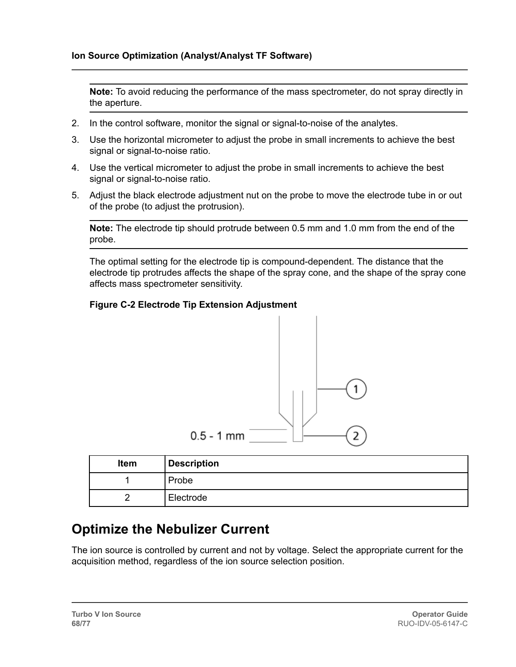**Note:** To avoid reducing the performance of the mass spectrometer, do not spray directly in the aperture.

- 2. In the control software, monitor the signal or signal-to-noise of the analytes.
- 3. Use the horizontal micrometer to adjust the probe in small increments to achieve the best signal or signal-to-noise ratio.
- 4. Use the vertical micrometer to adjust the probe in small increments to achieve the best signal or signal-to-noise ratio.
- 5. Adjust the black electrode adjustment nut on the probe to move the electrode tube in or out of the probe (to adjust the protrusion).

**Note:** The electrode tip should protrude between 0.5 mm and 1.0 mm from the end of the probe.

The optimal setting for the electrode tip is compound-dependent. The distance that the electrode tip protrudes affects the shape of the spray cone, and the shape of the spray cone affects mass spectrometer sensitivity.

#### **Figure C-2 Electrode Tip Extension Adjustment**



| Item | <b>Description</b> |
|------|--------------------|
|      | Probe              |
|      | Electrode          |

#### **Optimize the Nebulizer Current**

The ion source is controlled by current and not by voltage. Select the appropriate current for the acquisition method, regardless of the ion source selection position.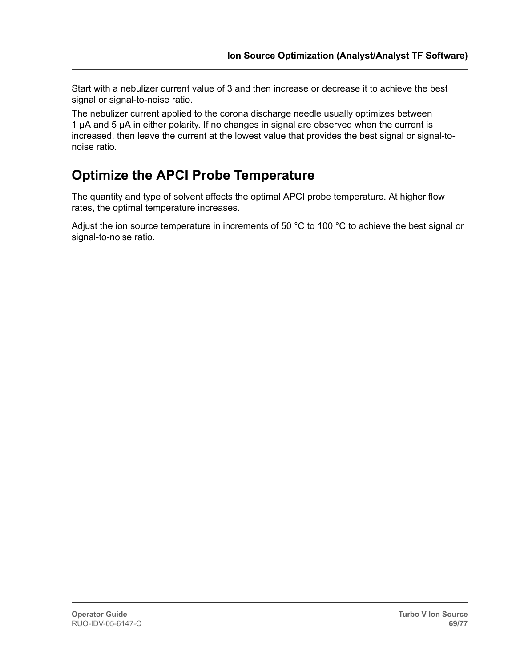Start with a nebulizer current value of 3 and then increase or decrease it to achieve the best signal or signal-to-noise ratio.

The nebulizer current applied to the corona discharge needle usually optimizes between 1 µA and 5 µA in either polarity. If no changes in signal are observed when the current is increased, then leave the current at the lowest value that provides the best signal or signal-tonoise ratio.

### **Optimize the APCI Probe Temperature**

The quantity and type of solvent affects the optimal APCI probe temperature. At higher flow rates, the optimal temperature increases.

Adjust the ion source temperature in increments of 50 °C to 100 °C to achieve the best signal or signal-to-noise ratio.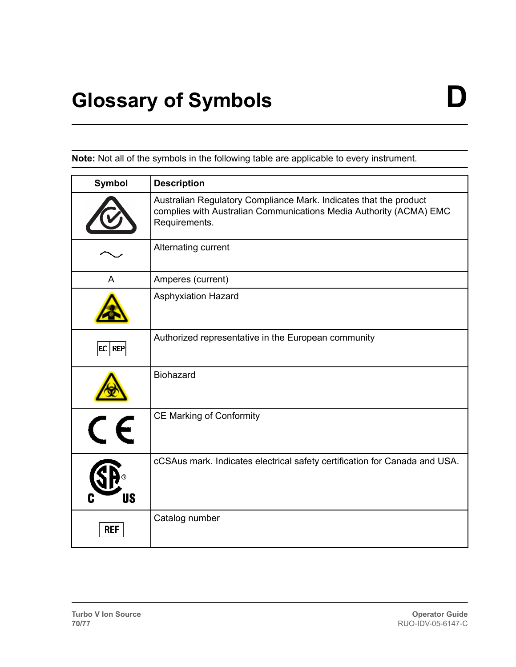**Note:** Not all of the symbols in the following table are applicable to every instrument.

| <b>Symbol</b> | <b>Description</b>                                                                                                                                       |
|---------------|----------------------------------------------------------------------------------------------------------------------------------------------------------|
|               | Australian Regulatory Compliance Mark. Indicates that the product<br>complies with Australian Communications Media Authority (ACMA) EMC<br>Requirements. |
|               | Alternating current                                                                                                                                      |
| A             | Amperes (current)                                                                                                                                        |
|               | <b>Asphyxiation Hazard</b>                                                                                                                               |
| EC REF        | Authorized representative in the European community                                                                                                      |
|               | <b>Biohazard</b>                                                                                                                                         |
|               | <b>CE Marking of Conformity</b>                                                                                                                          |
| US            | cCSAus mark. Indicates electrical safety certification for Canada and USA.                                                                               |
| <b>REF</b>    | Catalog number                                                                                                                                           |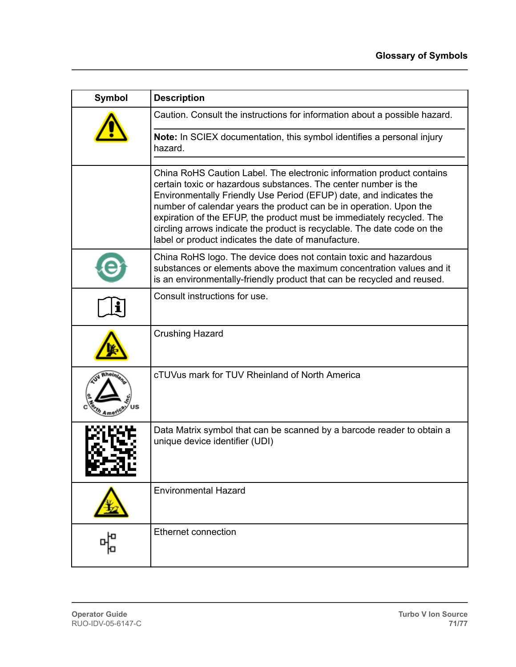| <b>Symbol</b> | <b>Description</b>                                                                                                                                                                                                                                                                                                                                                                                                                                                                               |
|---------------|--------------------------------------------------------------------------------------------------------------------------------------------------------------------------------------------------------------------------------------------------------------------------------------------------------------------------------------------------------------------------------------------------------------------------------------------------------------------------------------------------|
|               | Caution. Consult the instructions for information about a possible hazard.                                                                                                                                                                                                                                                                                                                                                                                                                       |
|               | Note: In SCIEX documentation, this symbol identifies a personal injury<br>hazard.                                                                                                                                                                                                                                                                                                                                                                                                                |
|               | China RoHS Caution Label. The electronic information product contains<br>certain toxic or hazardous substances. The center number is the<br>Environmentally Friendly Use Period (EFUP) date, and indicates the<br>number of calendar years the product can be in operation. Upon the<br>expiration of the EFUP, the product must be immediately recycled. The<br>circling arrows indicate the product is recyclable. The date code on the<br>label or product indicates the date of manufacture. |
|               | China RoHS logo. The device does not contain toxic and hazardous<br>substances or elements above the maximum concentration values and it<br>is an environmentally-friendly product that can be recycled and reused.                                                                                                                                                                                                                                                                              |
|               | Consult instructions for use.                                                                                                                                                                                                                                                                                                                                                                                                                                                                    |
|               | <b>Crushing Hazard</b>                                                                                                                                                                                                                                                                                                                                                                                                                                                                           |
|               | cTUVus mark for TUV Rheinland of North America                                                                                                                                                                                                                                                                                                                                                                                                                                                   |
| 56            | Data Matrix symbol that can be scanned by a barcode reader to obtain a<br>unique device identifier (UDI)                                                                                                                                                                                                                                                                                                                                                                                         |
|               | <b>Environmental Hazard</b>                                                                                                                                                                                                                                                                                                                                                                                                                                                                      |
|               | Ethernet connection                                                                                                                                                                                                                                                                                                                                                                                                                                                                              |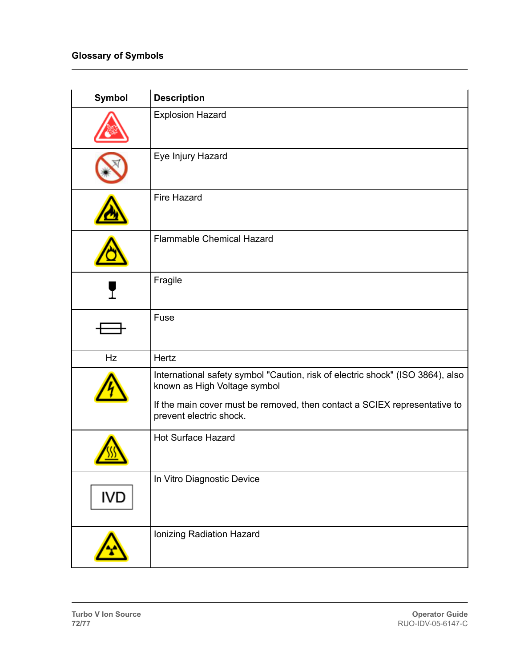| Symbol     | <b>Description</b>                                                                                                                                                                                                     |
|------------|------------------------------------------------------------------------------------------------------------------------------------------------------------------------------------------------------------------------|
|            | <b>Explosion Hazard</b>                                                                                                                                                                                                |
|            | Eye Injury Hazard                                                                                                                                                                                                      |
|            | <b>Fire Hazard</b>                                                                                                                                                                                                     |
|            | <b>Flammable Chemical Hazard</b>                                                                                                                                                                                       |
|            | Fragile                                                                                                                                                                                                                |
|            | Fuse                                                                                                                                                                                                                   |
| Hz         | Hertz                                                                                                                                                                                                                  |
|            | International safety symbol "Caution, risk of electric shock" (ISO 3864), also<br>known as High Voltage symbol<br>If the main cover must be removed, then contact a SCIEX representative to<br>prevent electric shock. |
|            | <b>Hot Surface Hazard</b>                                                                                                                                                                                              |
| <b>IVD</b> | In Vitro Diagnostic Device                                                                                                                                                                                             |
|            | Ionizing Radiation Hazard                                                                                                                                                                                              |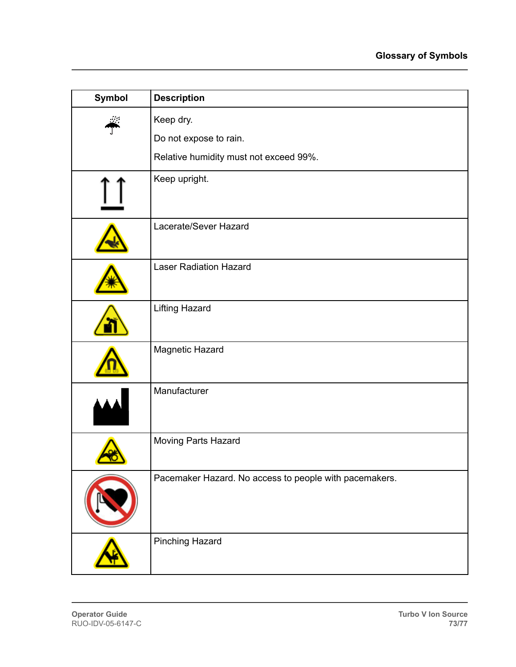| Symbol | <b>Description</b>                                     |
|--------|--------------------------------------------------------|
|        | Keep dry.                                              |
|        | Do not expose to rain.                                 |
|        | Relative humidity must not exceed 99%.                 |
|        | Keep upright.                                          |
|        | Lacerate/Sever Hazard                                  |
|        | <b>Laser Radiation Hazard</b>                          |
|        | <b>Lifting Hazard</b>                                  |
|        | Magnetic Hazard                                        |
|        | Manufacturer                                           |
|        | Moving Parts Hazard                                    |
|        | Pacemaker Hazard. No access to people with pacemakers. |
|        | <b>Pinching Hazard</b>                                 |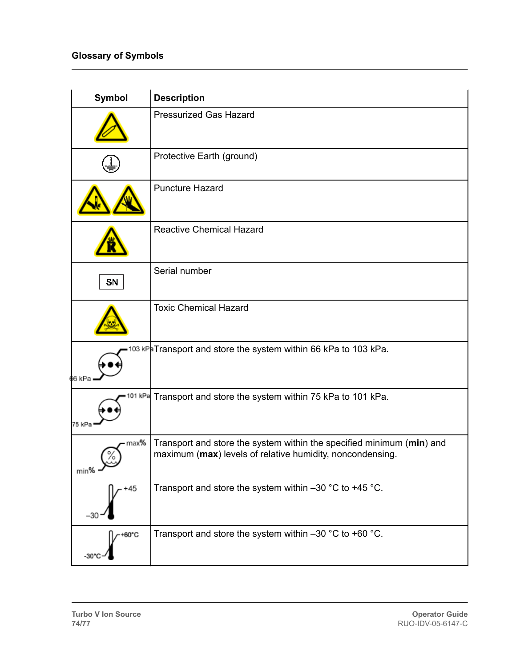| Symbol                           | <b>Description</b>                                                                                                                 |
|----------------------------------|------------------------------------------------------------------------------------------------------------------------------------|
|                                  | <b>Pressurized Gas Hazard</b>                                                                                                      |
|                                  | Protective Earth (ground)                                                                                                          |
|                                  | <b>Puncture Hazard</b>                                                                                                             |
|                                  | <b>Reactive Chemical Hazard</b>                                                                                                    |
| SN                               | Serial number                                                                                                                      |
|                                  | <b>Toxic Chemical Hazard</b>                                                                                                       |
| 66 kPa                           | <sup>103 kP</sup> l Transport and store the system within 66 kPa to 103 kPa.                                                       |
| 01 kPa<br>75 kPa                 | Transport and store the system within 75 kPa to 101 kPa.                                                                           |
| max%<br>$_{min\%}$ $\rightarrow$ | Transport and store the system within the specified minimum (min) and<br>maximum (max) levels of relative humidity, noncondensing. |
| $+45$                            | Transport and store the system within $-30$ °C to +45 °C.                                                                          |
| +60°C<br>$-30'$                  | Transport and store the system within $-30$ °C to +60 °C.                                                                          |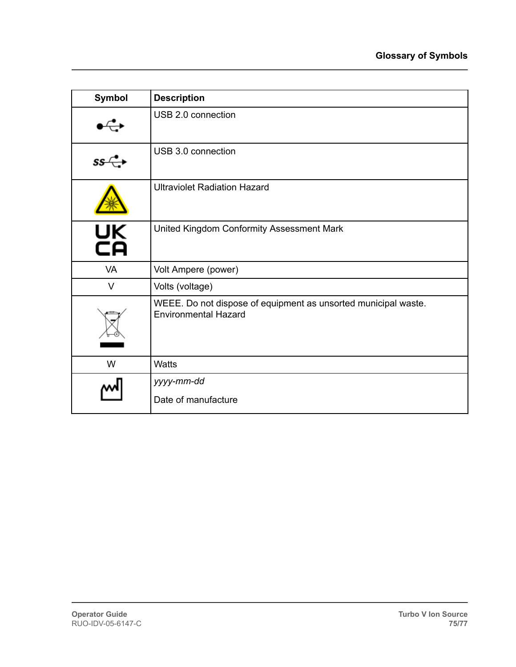| <b>Symbol</b>  | <b>Description</b>                                                                            |
|----------------|-----------------------------------------------------------------------------------------------|
|                | USB 2.0 connection                                                                            |
| $\sim 10^{11}$ | USB 3.0 connection                                                                            |
|                | <b>Ultraviolet Radiation Hazard</b>                                                           |
| UK<br>CA       | United Kingdom Conformity Assessment Mark                                                     |
| VA             | Volt Ampere (power)                                                                           |
| $\vee$         | Volts (voltage)                                                                               |
|                | WEEE. Do not dispose of equipment as unsorted municipal waste.<br><b>Environmental Hazard</b> |
| W              | Watts                                                                                         |
|                | yyyy-mm-dd<br>Date of manufacture                                                             |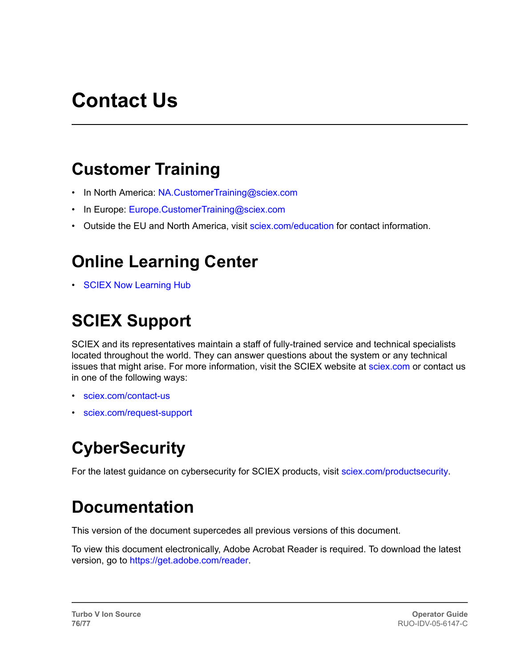# **Contact Us**

#### **Customer Training**

- In North America: [NA.CustomerTraining@sciex.com](mailto:NA.CustomerTraining@sciex.com)
- In Europe: [Europe.CustomerTraining@sciex.com](mailto:Europe.CustomerTraining@sciex.com)
- Outside the EU and North America, visit [sciex.com/education](https://sciex.com/education) for contact information.

## **Online Learning Center**

• [SCIEX Now Learning Hub](https://sciex.com/support/training)

## **SCIEX Support**

SCIEX and its representatives maintain a staff of fully-trained service and technical specialists located throughout the world. They can answer questions about the system or any technical issues that might arise. For more information, visit the SCIEX website at [sciex.com](https://sciex.com) or contact us in one of the following ways:

- [sciex.com/contact-us](https://sciex.com/contact-us)
- [sciex.com/request-support](https://sciex.com/request-support)

#### **CyberSecurity**

For the latest guidance on cybersecurity for SCIEX products, visit [sciex.com/productsecurity.](https://sciex.com/productsecurity)

#### **Documentation**

This version of the document supercedes all previous versions of this document.

To view this document electronically, Adobe Acrobat Reader is required. To download the latest version, go to [https://get.adobe.com/reader.](https://get.adobe.com/reader)